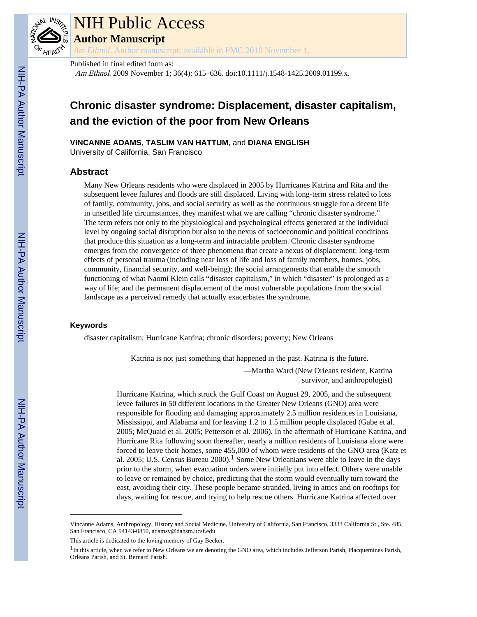

# NIH Public Access

**Author Manuscript**

*Am Ethnol*. Author manuscript; available in PMC 2010 November 1.

# Published in final edited form as:

Am Ethnol. 2009 November 1; 36(4): 615–636. doi:10.1111/j.1548-1425.2009.01199.x.

# **Chronic disaster syndrome: Displacement, disaster capitalism, and the eviction of the poor from New Orleans**

**VINCANNE ADAMS**, **TASLIM VAN HATTUM**, and **DIANA ENGLISH**

University of California, San Francisco

# **Abstract**

Many New Orleans residents who were displaced in 2005 by Hurricanes Katrina and Rita and the subsequent levee failures and floods are still displaced. Living with long-term stress related to loss of family, community, jobs, and social security as well as the continuous struggle for a decent life in unsettled life circumstances, they manifest what we are calling "chronic disaster syndrome." The term refers not only to the physiological and psychological effects generated at the individual level by ongoing social disruption but also to the nexus of socioeconomic and political conditions that produce this situation as a long-term and intractable problem. Chronic disaster syndrome emerges from the convergence of three phenomena that create a nexus of displacement: long-term effects of personal trauma (including near loss of life and loss of family members, homes, jobs, community, financial security, and well-being); the social arrangements that enable the smooth functioning of what Naomi Klein calls "disaster capitalism," in which "disaster" is prolonged as a way of life; and the permanent displacement of the most vulnerable populations from the social landscape as a perceived remedy that actually exacerbates the syndrome.

#### **Keywords**

disaster capitalism; Hurricane Katrina; chronic disorders; poverty; New Orleans

Katrina is not just something that happened in the past. Katrina is the future.

—Martha Ward (New Orleans resident, Katrina survivor, and anthropologist)

Hurricane Katrina, which struck the Gulf Coast on August 29, 2005, and the subsequent levee failures in 50 different locations in the Greater New Orleans (GNO) area were responsible for flooding and damaging approximately 2.5 million residences in Louisiana, Mississippi, and Alabama and for leaving 1.2 to 1.5 million people displaced (Gabe et al. 2005; McQuaid et al. 2005; Petterson et al. 2006). In the aftermath of Hurricane Katrina, and Hurricane Rita following soon thereafter, nearly a million residents of Louisiana alone were forced to leave their homes, some 455,000 of whom were residents of the GNO area (Katz et al. 2005; U.S. Census Bureau  $2000$ .<sup>1</sup> Some New Orleanians were able to leave in the days prior to the storm, when evacuation orders were initially put into effect. Others were unable to leave or remained by choice, predicting that the storm would eventually turn toward the east, avoiding their city. These people became stranded, living in attics and on rooftops for days, waiting for rescue, and trying to help rescue others. Hurricane Katrina affected over

Vincanne Adams, Anthropology, History and Social Medicine, University of California, San Francisco, 3333 California St., Ste. 485, San Francisco, CA 94143-0850, adamsv@dahsm.ucsf.edu.

This article is dedicated to the loving memory of Gay Becker.

<sup>1</sup>In this article, when we refer to New Orleans we are denoting the GNO area, which includes Jefferson Parish, Placquemines Parish, Orleans Parish, and St. Bernard Parish.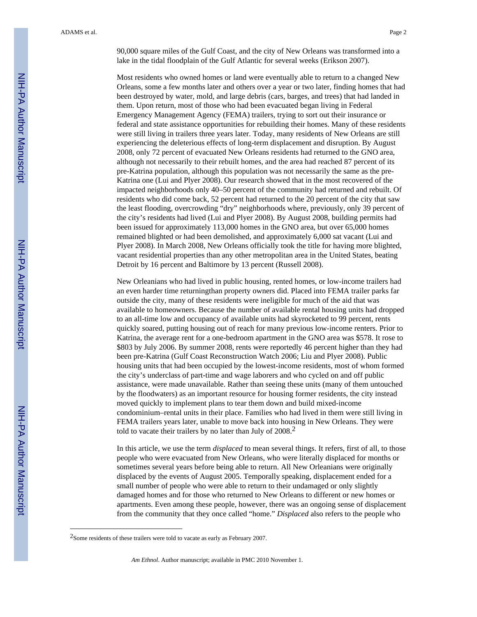90,000 square miles of the Gulf Coast, and the city of New Orleans was transformed into a lake in the tidal floodplain of the Gulf Atlantic for several weeks (Erikson 2007).

Most residents who owned homes or land were eventually able to return to a changed New Orleans, some a few months later and others over a year or two later, finding homes that had been destroyed by water, mold, and large debris (cars, barges, and trees) that had landed in them. Upon return, most of those who had been evacuated began living in Federal Emergency Management Agency (FEMA) trailers, trying to sort out their insurance or federal and state assistance opportunities for rebuilding their homes. Many of these residents were still living in trailers three years later. Today, many residents of New Orleans are still experiencing the deleterious effects of long-term displacement and disruption. By August 2008, only 72 percent of evacuated New Orleans residents had returned to the GNO area, although not necessarily to their rebuilt homes, and the area had reached 87 percent of its pre-Katrina population, although this population was not necessarily the same as the pre-Katrina one (Lui and Plyer 2008). Our research showed that in the most recovered of the impacted neighborhoods only 40–50 percent of the community had returned and rebuilt. Of residents who did come back, 52 percent had returned to the 20 percent of the city that saw the least flooding, overcrowding "dry" neighborhoods where, previously, only 39 percent of the city's residents had lived (Lui and Plyer 2008). By August 2008, building permits had been issued for approximately 113,000 homes in the GNO area, but over 65,000 homes remained blighted or had been demolished, and approximately 6,000 sat vacant (Lui and Plyer 2008). In March 2008, New Orleans officially took the title for having more blighted, vacant residential properties than any other metropolitan area in the United States, beating Detroit by 16 percent and Baltimore by 13 percent (Russell 2008).

New Orleanians who had lived in public housing, rented homes, or low-income trailers had an even harder time returningthan property owners did. Placed into FEMA trailer parks far outside the city, many of these residents were ineligible for much of the aid that was available to homeowners. Because the number of available rental housing units had dropped to an all-time low and occupancy of available units had skyrocketed to 99 percent, rents quickly soared, putting housing out of reach for many previous low-income renters. Prior to Katrina, the average rent for a one-bedroom apartment in the GNO area was \$578. It rose to \$803 by July 2006. By summer 2008, rents were reportedly 46 percent higher than they had been pre-Katrina (Gulf Coast Reconstruction Watch 2006; Liu and Plyer 2008). Public housing units that had been occupied by the lowest-income residents, most of whom formed the city's underclass of part-time and wage laborers and who cycled on and off public assistance, were made unavailable. Rather than seeing these units (many of them untouched by the floodwaters) as an important resource for housing former residents, the city instead moved quickly to implement plans to tear them down and build mixed-income condominium–rental units in their place. Families who had lived in them were still living in FEMA trailers years later, unable to move back into housing in New Orleans. They were told to vacate their trailers by no later than July of  $2008<sup>2</sup>$ 

In this article, we use the term *displaced* to mean several things. It refers, first of all, to those people who were evacuated from New Orleans, who were literally displaced for months or sometimes several years before being able to return. All New Orleanians were originally displaced by the events of August 2005. Temporally speaking, displacement ended for a small number of people who were able to return to their undamaged or only slightly damaged homes and for those who returned to New Orleans to different or new homes or apartments. Even among these people, however, there was an ongoing sense of displacement from the community that they once called "home." *Displaced* also refers to the people who

<sup>2</sup>Some residents of these trailers were told to vacate as early as February 2007.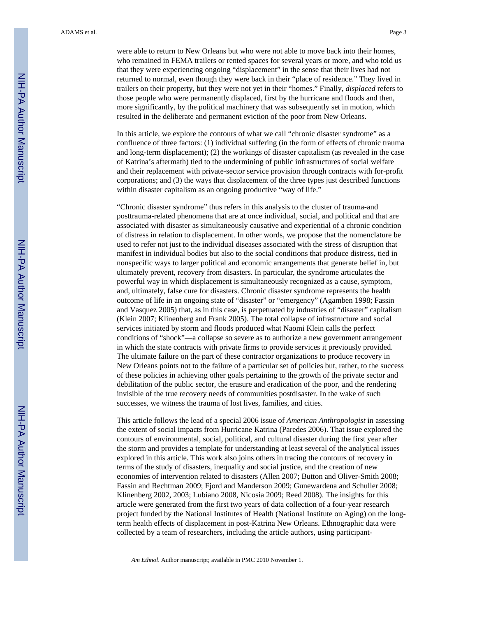were able to return to New Orleans but who were not able to move back into their homes, who remained in FEMA trailers or rented spaces for several years or more, and who told us that they were experiencing ongoing "displacement" in the sense that their lives had not returned to normal, even though they were back in their "place of residence." They lived in trailers on their property, but they were not yet in their "homes." Finally, *displaced* refers to those people who were permanently displaced, first by the hurricane and floods and then, more significantly, by the political machinery that was subsequently set in motion, which resulted in the deliberate and permanent eviction of the poor from New Orleans.

In this article, we explore the contours of what we call "chronic disaster syndrome" as a confluence of three factors: (1) individual suffering (in the form of effects of chronic trauma and long-term displacement); (2) the workings of disaster capitalism (as revealed in the case of Katrina's aftermath) tied to the undermining of public infrastructures of social welfare and their replacement with private-sector service provision through contracts with for-profit corporations; and (3) the ways that displacement of the three types just described functions within disaster capitalism as an ongoing productive "way of life."

"Chronic disaster syndrome" thus refers in this analysis to the cluster of trauma-and posttrauma-related phenomena that are at once individual, social, and political and that are associated with disaster as simultaneously causative and experiential of a chronic condition of distress in relation to displacement. In other words, we propose that the nomenclature be used to refer not just to the individual diseases associated with the stress of disruption that manifest in individual bodies but also to the social conditions that produce distress, tied in nonspecific ways to larger political and economic arrangements that generate belief in, but ultimately prevent, recovery from disasters. In particular, the syndrome articulates the powerful way in which displacement is simultaneously recognized as a cause, symptom, and, ultimately, false cure for disasters. Chronic disaster syndrome represents the health outcome of life in an ongoing state of "disaster" or "emergency" (Agamben 1998; Fassin and Vasquez 2005) that, as in this case, is perpetuated by industries of "disaster" capitalism (Klein 2007; Klinenberg and Frank 2005). The total collapse of infrastructure and social services initiated by storm and floods produced what Naomi Klein calls the perfect conditions of "shock"—a collapse so severe as to authorize a new government arrangement in which the state contracts with private firms to provide services it previously provided. The ultimate failure on the part of these contractor organizations to produce recovery in New Orleans points not to the failure of a particular set of policies but, rather, to the success of these policies in achieving other goals pertaining to the growth of the private sector and debilitation of the public sector, the erasure and eradication of the poor, and the rendering invisible of the true recovery needs of communities postdisaster. In the wake of such successes, we witness the trauma of lost lives, families, and cities.

This article follows the lead of a special 2006 issue of *American Anthropologist* in assessing the extent of social impacts from Hurricane Katrina (Paredes 2006). That issue explored the contours of environmental, social, political, and cultural disaster during the first year after the storm and provides a template for understanding at least several of the analytical issues explored in this article. This work also joins others in tracing the contours of recovery in terms of the study of disasters, inequality and social justice, and the creation of new economies of intervention related to disasters (Allen 2007; Button and Oliver-Smith 2008; Fassin and Rechtman 2009; Fjord and Manderson 2009; Gunewardena and Schuller 2008; Klinenberg 2002, 2003; Lubiano 2008, Nicosia 2009; Reed 2008). The insights for this article were generated from the first two years of data collection of a four-year research project funded by the National Institutes of Health (National Institute on Aging) on the longterm health effects of displacement in post-Katrina New Orleans. Ethnographic data were collected by a team of researchers, including the article authors, using participant-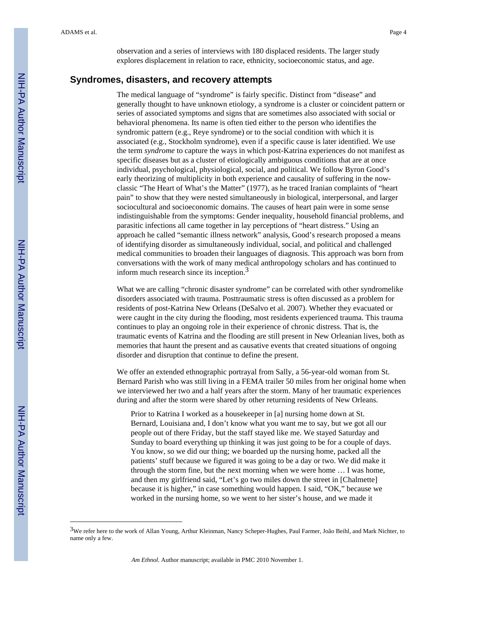observation and a series of interviews with 180 displaced residents. The larger study explores displacement in relation to race, ethnicity, socioeconomic status, and age.

### **Syndromes, disasters, and recovery attempts**

The medical language of "syndrome" is fairly specific. Distinct from "disease" and generally thought to have unknown etiology, a syndrome is a cluster or coincident pattern or series of associated symptoms and signs that are sometimes also associated with social or behavioral phenomena. Its name is often tied either to the person who identifies the syndromic pattern (e.g., Reye syndrome) or to the social condition with which it is associated (e.g., Stockholm syndrome), even if a specific cause is later identified. We use the term *syndrome* to capture the ways in which post-Katrina experiences do not manifest as specific diseases but as a cluster of etiologically ambiguous conditions that are at once individual, psychological, physiological, social, and political. We follow Byron Good's early theorizing of multiplicity in both experience and causality of suffering in the nowclassic "The Heart of What's the Matter" (1977), as he traced Iranian complaints of "heart pain" to show that they were nested simultaneously in biological, interpersonal, and larger sociocultural and socioeconomic domains. The causes of heart pain were in some sense indistinguishable from the symptoms: Gender inequality, household financial problems, and parasitic infections all came together in lay perceptions of "heart distress." Using an approach he called "semantic illness network" analysis, Good's research proposed a means of identifying disorder as simultaneously individual, social, and political and challenged medical communities to broaden their languages of diagnosis. This approach was born from conversations with the work of many medical anthropology scholars and has continued to inform much research since its inception. $3$ 

What we are calling "chronic disaster syndrome" can be correlated with other syndromelike disorders associated with trauma. Posttraumatic stress is often discussed as a problem for residents of post-Katrina New Orleans (DeSalvo et al. 2007). Whether they evacuated or were caught in the city during the flooding, most residents experienced trauma. This trauma continues to play an ongoing role in their experience of chronic distress. That is, the traumatic events of Katrina and the flooding are still present in New Orleanian lives, both as memories that haunt the present and as causative events that created situations of ongoing disorder and disruption that continue to define the present.

We offer an extended ethnographic portrayal from Sally, a 56-year-old woman from St. Bernard Parish who was still living in a FEMA trailer 50 miles from her original home when we interviewed her two and a half years after the storm. Many of her traumatic experiences during and after the storm were shared by other returning residents of New Orleans.

Prior to Katrina I worked as a housekeeper in [a] nursing home down at St. Bernard, Louisiana and, I don't know what you want me to say, but we got all our people out of there Friday, but the staff stayed like me. We stayed Saturday and Sunday to board everything up thinking it was just going to be for a couple of days. You know, so we did our thing; we boarded up the nursing home, packed all the patients' stuff because we figured it was going to be a day or two. We did make it through the storm fine, but the next morning when we were home … I was home, and then my girlfriend said, "Let's go two miles down the street in [Chalmette] because it is higher," in case something would happen. I said, "OK," because we worked in the nursing home, so we went to her sister's house, and we made it

<sup>3</sup>We refer here to the work of Allan Young, Arthur Kleinman, Nancy Scheper-Hughes, Paul Farmer, João Beihl, and Mark Nichter, to name only a few.

*Am Ethnol*. Author manuscript; available in PMC 2010 November 1.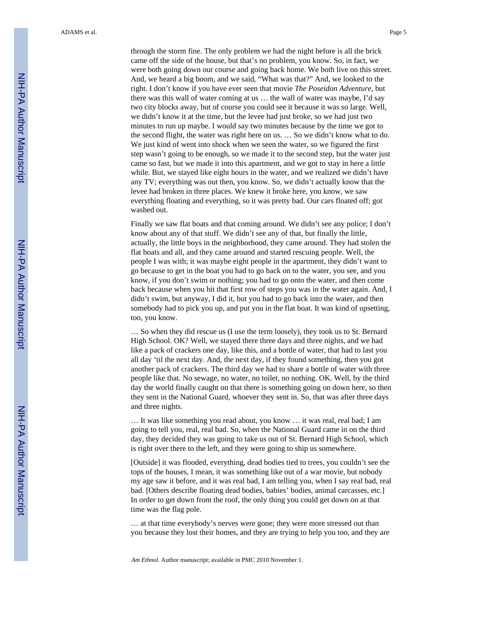through the storm fine. The only problem we had the night before is all the brick came off the side of the house, but that's no problem, you know. So, in fact, we were both going down our course and going back home. We both live on this street. And, we heard a big boom, and we said, "What was that?" And, we looked to the right. I don't know if you have ever seen that movie *The Poseidon Adventure,* but there was this wall of water coming at us … the wall of water was maybe, I'd say two city blocks away, but of course you could see it because it was so large. Well, we didn't know it at the time, but the levee had just broke, so we had just two minutes to run up maybe. I would say two minutes because by the time we got to the second flight, the water was right here on us. … So we didn't know what to do. We just kind of went into shock when we seen the water, so we figured the first step wasn't going to be enough, so we made it to the second step, but the water just came so fast, but we made it into this apartment, and we got to stay in here a little while. But, we stayed like eight hours in the water, and we realized we didn't have any TV; everything was out then, you know. So, we didn't actually know that the

Finally we saw flat boats and that coming around. We didn't see any police; I don't know about any of that stuff. We didn't see any of that, but finally the little, actually, the little boys in the neighborhood, they came around. They had stolen the flat boats and all, and they came around and started rescuing people. Well, the people I was with; it was maybe eight people in the apartment, they didn't want to go because to get in the boat you had to go back on to the water, you see, and you know, if you don't swim or nothing; you had to go onto the water, and then come back because when you hit that first row of steps you was in the water again. And, I didn't swim, but anyway, I did it, but you had to go back into the water, and then somebody had to pick you up, and put you in the flat boat. It was kind of upsetting, too, you know.

levee had broken in three places. We knew it broke here, you know, we saw everything floating and everything, so it was pretty bad. Our cars floated off; got

washed out.

… So when they did rescue us (I use the term loosely), they took us to St. Bernard High School. OK? Well, we stayed there three days and three nights, and we had like a pack of crackers one day, like this, and a bottle of water, that had to last you all day 'til the next day. And, the next day, if they found something, then you got another pack of crackers. The third day we had to share a bottle of water with three people like that. No sewage, no water, no toilet, no nothing. OK. Well, by the third day the world finally caught on that there is something going on down here, so then they sent in the National Guard, whoever they sent in. So, that was after three days and three nights.

… It was like something you read about, you know … it was real, real bad; I am going to tell you, real, real bad. So, when the National Guard came in on the third day, they decided they was going to take us out of St. Bernard High School, which is right over there to the left, and they were going to ship us somewhere.

[Outside] it was flooded, everything, dead bodies tied to trees, you couldn't see the tops of the houses, I mean, it was something like out of a war movie, but nobody my age saw it before, and it was real bad, I am telling you, when I say real bad, real bad. [Others describe floating dead bodies, babies' bodies, animal carcasses, etc.] In order to get down from the roof, the only thing you could get down on at that time was the flag pole.

… at that time everybody's nerves were gone; they were more stressed out than you because they lost their homes, and they are trying to help you too, and they are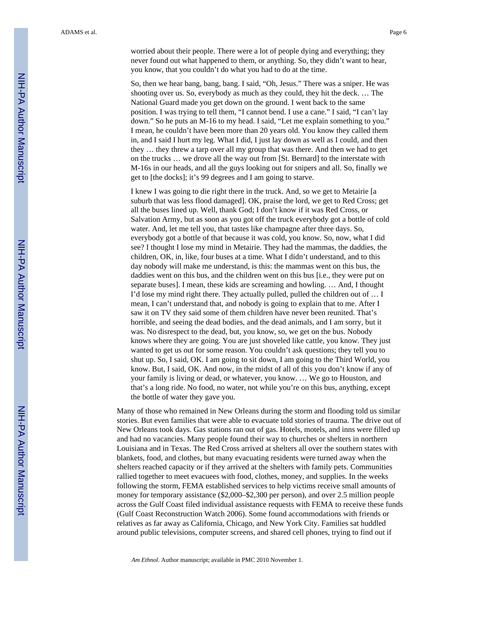worried about their people. There were a lot of people dying and everything; they never found out what happened to them, or anything. So, they didn't want to hear, you know, that you couldn't do what you had to do at the time.

So, then we hear bang, bang, bang. I said, "Oh, Jesus." There was a sniper. He was shooting over us. So, everybody as much as they could, they hit the deck. … The National Guard made you get down on the ground. I went back to the same position. I was trying to tell them, "I cannot bend. I use a cane." I said, "I can't lay down." So he puts an M-16 to my head. I said, "Let me explain something to you." I mean, he couldn't have been more than 20 years old. You know they called them in, and I said I hurt my leg. What I did, I just lay down as well as I could, and then they … they threw a tarp over all my group that was there. And then we had to get on the trucks … we drove all the way out from [St. Bernard] to the interstate with M-16s in our heads, and all the guys looking out for snipers and all. So, finally we get to [the docks]; it's 99 degrees and I am going to starve.

I knew I was going to die right there in the truck. And, so we get to Metairie [a suburb that was less flood damaged]. OK, praise the lord, we get to Red Cross; get all the buses lined up. Well, thank God; I don't know if it was Red Cross, or Salvation Army, but as soon as you got off the truck everybody got a bottle of cold water. And, let me tell you, that tastes like champagne after three days. So, everybody got a bottle of that because it was cold, you know. So, now, what I did see? I thought I lose my mind in Metairie. They had the mammas, the daddies, the children, OK, in, like, four buses at a time. What I didn't understand, and to this day nobody will make me understand, is this: the mammas went on this bus, the daddies went on this bus, and the children went on this bus [i.e., they were put on separate buses]. I mean, these kids are screaming and howling. … And, I thought I'd lose my mind right there. They actually pulled, pulled the children out of … I mean, I can't understand that, and nobody is going to explain that to me. After I saw it on TV they said some of them children have never been reunited. That's horrible, and seeing the dead bodies, and the dead animals, and I am sorry, but it was. No disrespect to the dead, but, you know, so, we get on the bus. Nobody knows where they are going. You are just shoveled like cattle, you know. They just wanted to get us out for some reason. You couldn't ask questions; they tell you to shut up. So, I said, OK. I am going to sit down, I am going to the Third World, you know. But, I said, OK. And now, in the midst of all of this you don't know if any of your family is living or dead, or whatever, you know. … We go to Houston, and that's a long ride. No food, no water, not while you're on this bus, anything, except the bottle of water they gave you.

Many of those who remained in New Orleans during the storm and flooding told us similar stories. But even families that were able to evacuate told stories of trauma. The drive out of New Orleans took days. Gas stations ran out of gas. Hotels, motels, and inns were filled up and had no vacancies. Many people found their way to churches or shelters in northern Louisiana and in Texas. The Red Cross arrived at shelters all over the southern states with blankets, food, and clothes, but many evacuating residents were turned away when the shelters reached capacity or if they arrived at the shelters with family pets. Communities rallied together to meet evacuees with food, clothes, money, and supplies. In the weeks following the storm, FEMA established services to help victims receive small amounts of money for temporary assistance (\$2,000–\$2,300 per person), and over 2.5 million people across the Gulf Coast filed individual assistance requests with FEMA to receive these funds (Gulf Coast Reconstruction Watch 2006). Some found accommodations with friends or relatives as far away as California, Chicago, and New York City. Families sat huddled around public televisions, computer screens, and shared cell phones, trying to find out if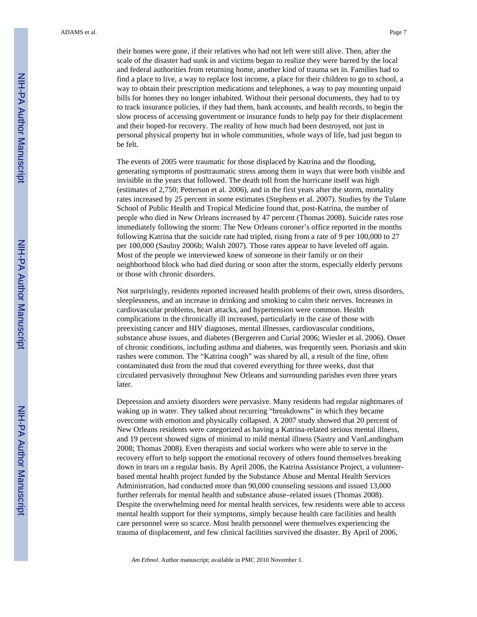their homes were gone, if their relatives who had not left were still alive. Then, after the scale of the disaster had sunk in and victims began to realize they were barred by the local and federal authorities from returning home, another kind of trauma set in. Families had to find a place to live, a way to replace lost income, a place for their children to go to school, a way to obtain their prescription medications and telephones, a way to pay mounting unpaid bills for homes they no longer inhabited. Without their personal documents, they had to try to track insurance policies, if they had them, bank accounts, and health records, to begin the slow process of accessing government or insurance funds to help pay for their displacement and their hoped-for recovery. The reality of how much had been destroyed, not just in personal physical property but in whole communities, whole ways of life, had just begun to be felt.

The events of 2005 were traumatic for those displaced by Katrina and the flooding, generating symptoms of posttraumatic stress among them in ways that were both visible and invisible in the years that followed. The death toll from the hurricane itself was high (estimates of 2,750; Petterson et al. 2006), and in the first years after the storm, mortality rates increased by 25 percent in some estimates (Stephens et al. 2007). Studies by the Tulane School of Public Health and Tropical Medicine found that, post-Katrina, the number of people who died in New Orleans increased by 47 percent (Thomas 2008). Suicide rates rose immediately following the storm: The New Orleans coroner's office reported in the months following Katrina that the suicide rate had tripled, rising from a rate of 9 per 100,000 to 27 per 100,000 (Saulny 2006b; Walsh 2007). Those rates appear to have leveled off again. Most of the people we interviewed knew of someone in their family or on their neighborhood block who had died during or soon after the storm, especially elderly persons or those with chronic disorders.

Not surprisingly, residents reported increased health problems of their own, stress disorders, sleeplessness, and an increase in drinking and smoking to calm their nerves. Increases in cardiovascular problems, heart attacks, and hypertension were common. Health complications in the chronically ill increased, particularly in the case of those with preexisting cancer and HIV diagnoses, mental illnesses, cardiovascular conditions, substance abuse issues, and diabetes (Bergerren and Curial 2006; Wiesler et al. 2006). Onset of chronic conditions, including asthma and diabetes, was frequently seen. Psoriasis and skin rashes were common. The "Katrina cough" was shared by all, a result of the fine, often contaminated dust from the mud that covered everything for three weeks, dust that circulated pervasively throughout New Orleans and surrounding parishes even three years later.

Depression and anxiety disorders were pervasive. Many residents had regular nightmares of waking up in water. They talked about recurring "breakdowns" in which they became overcome with emotion and physically collapsed. A 2007 study showed that 20 percent of New Orleans residents were categorized as having a Katrina-related serious mental illness, and 19 percent showed signs of minimal to mild mental illness (Sastry and VanLandingham 2008; Thomas 2008). Even therapists and social workers who were able to serve in the recovery effort to help support the emotional recovery of others found themselves breaking down in tears on a regular basis. By April 2006, the Katrina Assistance Project, a volunteerbased mental health project funded by the Substance Abuse and Mental Health Services Administration, had conducted more than 90,000 counseling sessions and issued 13,000 further referrals for mental health and substance abuse–related issues (Thomas 2008). Despite the overwhelming need for mental health services, few residents were able to access mental health support for their symptoms, simply because health care facilities and health care personnel were so scarce. Most health personnel were themselves experiencing the trauma of displacement, and few clinical facilities survived the disaster. By April of 2006,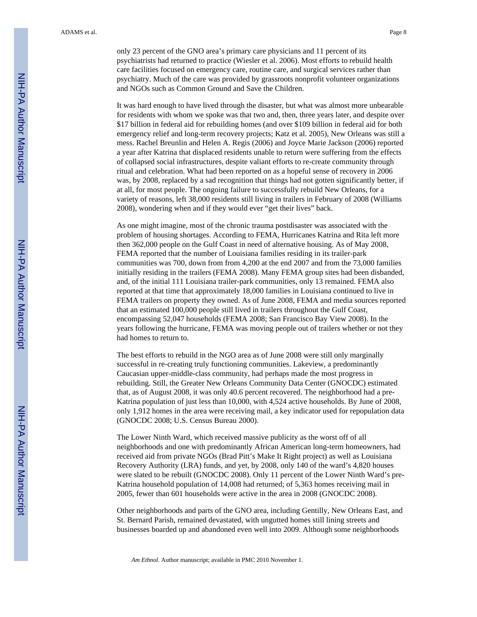only 23 percent of the GNO area's primary care physicians and 11 percent of its psychiatrists had returned to practice (Wiesler et al. 2006). Most efforts to rebuild health care facilities focused on emergency care, routine care, and surgical services rather than psychiatry. Much of the care was provided by grassroots nonprofit volunteer organizations and NGOs such as Common Ground and Save the Children.

It was hard enough to have lived through the disaster, but what was almost more unbearable for residents with whom we spoke was that two and, then, three years later, and despite over \$17 billion in federal aid for rebuilding homes (and over \$109 billion in federal aid for both emergency relief and long-term recovery projects; Katz et al. 2005), New Orleans was still a mess. Rachel Breunlin and Helen A. Regis (2006) and Joyce Marie Jackson (2006) reported a year after Katrina that displaced residents unable to return were suffering from the effects of collapsed social infrastructures, despite valiant efforts to re-create community through ritual and celebration. What had been reported on as a hopeful sense of recovery in 2006 was, by 2008, replaced by a sad recognition that things had not gotten significantly better, if at all, for most people. The ongoing failure to successfully rebuild New Orleans, for a variety of reasons, left 38,000 residents still living in trailers in February of 2008 (Williams 2008), wondering when and if they would ever "get their lives" back.

As one might imagine, most of the chronic trauma postdisaster was associated with the problem of housing shortages. According to FEMA, Hurricanes Katrina and Rita left more then 362,000 people on the Gulf Coast in need of alternative housing. As of May 2008, FEMA reported that the number of Louisiana families residing in its trailer-park communities was 700, down from from 4,200 at the end 2007 and from the 73,000 families initially residing in the trailers (FEMA 2008). Many FEMA group sites had been disbanded, and, of the initial 111 Louisiana trailer-park communities, only 13 remained. FEMA also reported at that time that approximately 18,000 families in Louisiana continued to live in FEMA trailers on property they owned. As of June 2008, FEMA and media sources reported that an estimated 100,000 people still lived in trailers throughout the Gulf Coast, encompassing 52,047 households (FEMA 2008; San Francisco Bay View 2008). In the years following the hurricane, FEMA was moving people out of trailers whether or not they had homes to return to.

The best efforts to rebuild in the NGO area as of June 2008 were still only marginally successful in re-creating truly functioning communities. Lakeview, a predominantly Caucasian upper-middle-class community, had perhaps made the most progress in rebuilding. Still, the Greater New Orleans Community Data Center (GNOCDC) estimated that, as of August 2008, it was only 40.6 percent recovered. The neighborhood had a pre-Katrina population of just less than 10,000, with 4,524 active households. By June of 2008, only 1,912 homes in the area were receiving mail, a key indicator used for repopulation data (GNOCDC 2008; U.S. Census Bureau 2000).

The Lower Ninth Ward, which received massive publicity as the worst off of all neighborhoods and one with predominantly African American long-term homeowners, had received aid from private NGOs (Brad Pitt's Make It Right project) as well as Louisiana Recovery Authority (LRA) funds, and yet, by 2008, only 140 of the ward's 4,820 houses were slated to be rebuilt (GNOCDC 2008). Only 11 percent of the Lower Ninth Ward's pre-Katrina household population of 14,008 had returned; of 5,363 homes receiving mail in 2005, fewer than 601 households were active in the area in 2008 (GNOCDC 2008).

Other neighborhoods and parts of the GNO area, including Gentilly, New Orleans East, and St. Bernard Parish, remained devastated, with ungutted homes still lining streets and businesses boarded up and abandoned even well into 2009. Although some neighborhoods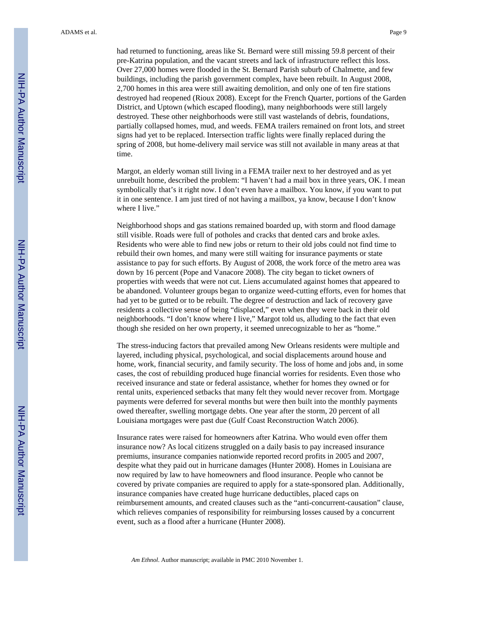had returned to functioning, areas like St. Bernard were still missing 59.8 percent of their pre-Katrina population, and the vacant streets and lack of infrastructure reflect this loss. Over 27,000 homes were flooded in the St. Bernard Parish suburb of Chalmette, and few buildings, including the parish government complex, have been rebuilt. In August 2008, 2,700 homes in this area were still awaiting demolition, and only one of ten fire stations destroyed had reopened (Rioux 2008). Except for the French Quarter, portions of the Garden District, and Uptown (which escaped flooding), many neighborhoods were still largely destroyed. These other neighborhoods were still vast wastelands of debris, foundations, partially collapsed homes, mud, and weeds. FEMA trailers remained on front lots, and street signs had yet to be replaced. Intersection traffic lights were finally replaced during the spring of 2008, but home-delivery mail service was still not available in many areas at that time.

Margot, an elderly woman still living in a FEMA trailer next to her destroyed and as yet unrebuilt home, described the problem: "I haven't had a mail box in three years, OK. I mean symbolically that's it right now. I don't even have a mailbox. You know, if you want to put it in one sentence. I am just tired of not having a mailbox, ya know, because I don't know where I live."

Neighborhood shops and gas stations remained boarded up, with storm and flood damage still visible. Roads were full of potholes and cracks that dented cars and broke axles. Residents who were able to find new jobs or return to their old jobs could not find time to rebuild their own homes, and many were still waiting for insurance payments or state assistance to pay for such efforts. By August of 2008, the work force of the metro area was down by 16 percent (Pope and Vanacore 2008). The city began to ticket owners of properties with weeds that were not cut. Liens accumulated against homes that appeared to be abandoned. Volunteer groups began to organize weed-cutting efforts, even for homes that had yet to be gutted or to be rebuilt. The degree of destruction and lack of recovery gave residents a collective sense of being "displaced," even when they were back in their old neighborhoods. "I don't know where I live," Margot told us, alluding to the fact that even though she resided on her own property, it seemed unrecognizable to her as "home."

The stress-inducing factors that prevailed among New Orleans residents were multiple and layered, including physical, psychological, and social displacements around house and home, work, financial security, and family security. The loss of home and jobs and, in some cases, the cost of rebuilding produced huge financial worries for residents. Even those who received insurance and state or federal assistance, whether for homes they owned or for rental units, experienced setbacks that many felt they would never recover from. Mortgage payments were deferred for several months but were then built into the monthly payments owed thereafter, swelling mortgage debts. One year after the storm, 20 percent of all Louisiana mortgages were past due (Gulf Coast Reconstruction Watch 2006).

Insurance rates were raised for homeowners after Katrina. Who would even offer them insurance now? As local citizens struggled on a daily basis to pay increased insurance premiums, insurance companies nationwide reported record profits in 2005 and 2007, despite what they paid out in hurricane damages (Hunter 2008). Homes in Louisiana are now required by law to have homeowners and flood insurance. People who cannot be covered by private companies are required to apply for a state-sponsored plan. Additionally, insurance companies have created huge hurricane deductibles, placed caps on reimbursement amounts, and created clauses such as the "anti-concurrent-causation" clause, which relieves companies of responsibility for reimbursing losses caused by a concurrent event, such as a flood after a hurricane (Hunter 2008).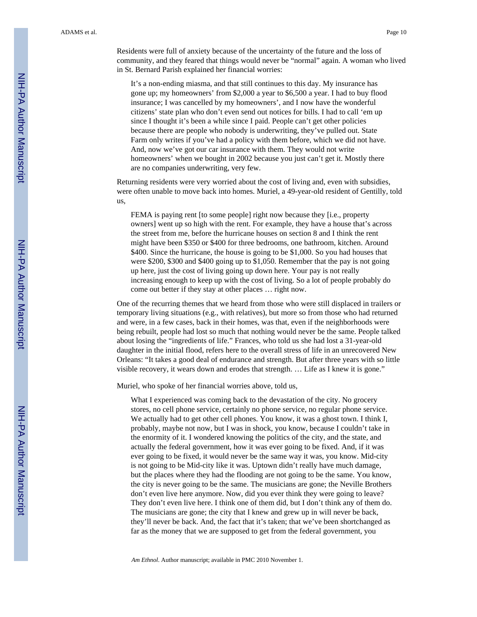Residents were full of anxiety because of the uncertainty of the future and the loss of community, and they feared that things would never be "normal" again. A woman who lived in St. Bernard Parish explained her financial worries:

It's a non-ending miasma, and that still continues to this day. My insurance has gone up; my homeowners' from \$2,000 a year to \$6,500 a year. I had to buy flood insurance; I was cancelled by my homeowners', and I now have the wonderful citizens' state plan who don't even send out notices for bills. I had to call 'em up since I thought it's been a while since I paid. People can't get other policies because there are people who nobody is underwriting, they've pulled out. State Farm only writes if you've had a policy with them before, which we did not have. And, now we've got our car insurance with them. They would not write homeowners' when we bought in 2002 because you just can't get it. Mostly there are no companies underwriting, very few.

Returning residents were very worried about the cost of living and, even with subsidies, were often unable to move back into homes. Muriel, a 49-year-old resident of Gentilly, told us,

FEMA is paying rent [to some people] right now because they [i.e., property owners] went up so high with the rent. For example, they have a house that's across the street from me, before the hurricane houses on section 8 and I think the rent might have been \$350 or \$400 for three bedrooms, one bathroom, kitchen. Around \$400. Since the hurricane, the house is going to be \$1,000. So you had houses that were \$200, \$300 and \$400 going up to \$1,050. Remember that the pay is not going up here, just the cost of living going up down here. Your pay is not really increasing enough to keep up with the cost of living. So a lot of people probably do come out better if they stay at other places … right now.

One of the recurring themes that we heard from those who were still displaced in trailers or temporary living situations (e.g., with relatives), but more so from those who had returned and were, in a few cases, back in their homes, was that, even if the neighborhoods were being rebuilt, people had lost so much that nothing would never be the same. People talked about losing the "ingredients of life." Frances, who told us she had lost a 31-year-old daughter in the initial flood, refers here to the overall stress of life in an unrecovered New Orleans: "It takes a good deal of endurance and strength. But after three years with so little visible recovery, it wears down and erodes that strength. … Life as I knew it is gone."

Muriel, who spoke of her financial worries above, told us,

What I experienced was coming back to the devastation of the city. No grocery stores, no cell phone service, certainly no phone service, no regular phone service. We actually had to get other cell phones. You know, it was a ghost town. I think I, probably, maybe not now, but I was in shock, you know, because I couldn't take in the enormity of it. I wondered knowing the politics of the city, and the state, and actually the federal government, how it was ever going to be fixed. And, if it was ever going to be fixed, it would never be the same way it was, you know. Mid-city is not going to be Mid-city like it was. Uptown didn't really have much damage, but the places where they had the flooding are not going to be the same. You know, the city is never going to be the same. The musicians are gone; the Neville Brothers don't even live here anymore. Now, did you ever think they were going to leave? They don't even live here. I think one of them did, but I don't think any of them do. The musicians are gone; the city that I knew and grew up in will never be back, they'll never be back. And, the fact that it's taken; that we've been shortchanged as far as the money that we are supposed to get from the federal government, you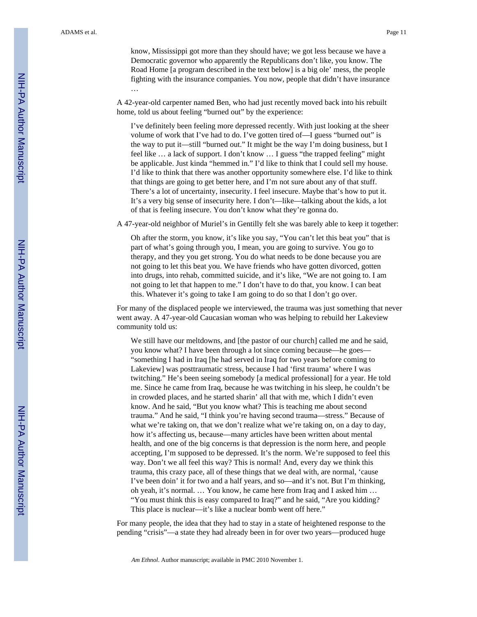know, Mississippi got more than they should have; we got less because we have a Democratic governor who apparently the Republicans don't like, you know. The Road Home [a program described in the text below] is a big ole' mess, the people fighting with the insurance companies. You now, people that didn't have insurance …

A 42-year-old carpenter named Ben, who had just recently moved back into his rebuilt home, told us about feeling "burned out" by the experience:

I've definitely been feeling more depressed recently. With just looking at the sheer volume of work that I've had to do. I've gotten tired of—I guess "burned out" is the way to put it—still "burned out." It might be the way I'm doing business, but I feel like … a lack of support. I don't know … I guess "the trapped feeling" might be applicable. Just kinda "hemmed in." I'd like to think that I could sell my house. I'd like to think that there was another opportunity somewhere else. I'd like to think that things are going to get better here, and I'm not sure about any of that stuff. There's a lot of uncertainty, insecurity. I feel insecure. Maybe that's how to put it. It's a very big sense of insecurity here. I don't—like—talking about the kids, a lot of that is feeling insecure. You don't know what they're gonna do.

A 47-year-old neighbor of Muriel's in Gentilly felt she was barely able to keep it together:

Oh after the storm, you know, it's like you say, "You can't let this beat you" that is part of what's going through you, I mean, you are going to survive. You go to therapy, and they you get strong. You do what needs to be done because you are not going to let this beat you. We have friends who have gotten divorced, gotten into drugs, into rehab, committed suicide, and it's like, "We are not going to. I am not going to let that happen to me." I don't have to do that, you know. I can beat this. Whatever it's going to take I am going to do so that I don't go over.

For many of the displaced people we interviewed, the trauma was just something that never went away. A 47-year-old Caucasian woman who was helping to rebuild her Lakeview community told us:

We still have our meltdowns, and [the pastor of our church] called me and he said, you know what? I have been through a lot since coming because—he goes— "something I had in Iraq [he had served in Iraq for two years before coming to Lakeview] was posttraumatic stress, because I had 'first trauma' where I was twitching." He's been seeing somebody [a medical professional] for a year. He told me. Since he came from Iraq, because he was twitching in his sleep, he couldn't be in crowded places, and he started sharin' all that with me, which I didn't even know. And he said, "But you know what? This is teaching me about second trauma." And he said, "I think you're having second trauma—stress." Because of what we're taking on, that we don't realize what we're taking on, on a day to day, how it's affecting us, because—many articles have been written about mental health, and one of the big concerns is that depression is the norm here, and people accepting, I'm supposed to be depressed. It's the norm. We're supposed to feel this way. Don't we all feel this way? This is normal! And, every day we think this trauma, this crazy pace, all of these things that we deal with, are normal, 'cause I've been doin' it for two and a half years, and so—and it's not. But I'm thinking, oh yeah, it's normal. … You know, he came here from Iraq and I asked him … "You must think this is easy compared to Iraq?" and he said, "Are you kidding? This place is nuclear—it's like a nuclear bomb went off here."

For many people, the idea that they had to stay in a state of heightened response to the pending "crisis"—a state they had already been in for over two years—produced huge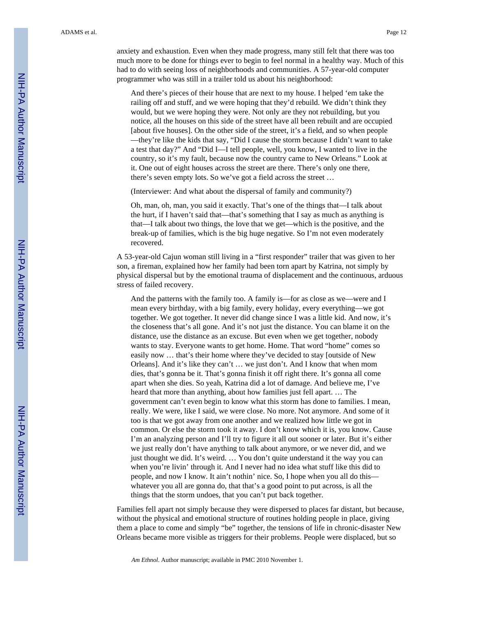anxiety and exhaustion. Even when they made progress, many still felt that there was too much more to be done for things ever to begin to feel normal in a healthy way. Much of this had to do with seeing loss of neighborhoods and communities. A 57-year-old computer programmer who was still in a trailer told us about his neighborhood:

And there's pieces of their house that are next to my house. I helped 'em take the railing off and stuff, and we were hoping that they'd rebuild. We didn't think they would, but we were hoping they were. Not only are they not rebuilding, but you notice, all the houses on this side of the street have all been rebuilt and are occupied [about five houses]. On the other side of the street, it's a field, and so when people —they're like the kids that say, "Did I cause the storm because I didn't want to take a test that day?" And "Did I—I tell people, well, you know, I wanted to live in the country, so it's my fault, because now the country came to New Orleans." Look at it. One out of eight houses across the street are there. There's only one there, there's seven empty lots. So we've got a field across the street …

(Interviewer: And what about the dispersal of family and community?)

Oh, man, oh, man, you said it exactly. That's one of the things that—I talk about the hurt, if I haven't said that—that's something that I say as much as anything is that—I talk about two things, the love that we get—which is the positive, and the break-up of families, which is the big huge negative. So I'm not even moderately recovered.

A 53-year-old Cajun woman still living in a "first responder" trailer that was given to her son, a fireman, explained how her family had been torn apart by Katrina, not simply by physical dispersal but by the emotional trauma of displacement and the continuous, arduous stress of failed recovery.

And the patterns with the family too. A family is—for as close as we—were and I mean every birthday, with a big family, every holiday, every everything—we got together. We got together. It never did change since I was a little kid. And now, it's the closeness that's all gone. And it's not just the distance. You can blame it on the distance, use the distance as an excuse. But even when we get together, nobody wants to stay. Everyone wants to get home. Home. That word "home" comes so easily now … that's their home where they've decided to stay [outside of New Orleans]. And it's like they can't … we just don't. And I know that when mom dies, that's gonna be it. That's gonna finish it off right there. It's gonna all come apart when she dies. So yeah, Katrina did a lot of damage. And believe me, I've heard that more than anything, about how families just fell apart. … The government can't even begin to know what this storm has done to families. I mean, really. We were, like I said, we were close. No more. Not anymore. And some of it too is that we got away from one another and we realized how little we got in common. Or else the storm took it away. I don't know which it is, you know. Cause I'm an analyzing person and I'll try to figure it all out sooner or later. But it's either we just really don't have anything to talk about anymore, or we never did, and we just thought we did. It's weird. … You don't quite understand it the way you can when you're livin' through it. And I never had no idea what stuff like this did to people, and now I know. It ain't nothin' nice. So, I hope when you all do this whatever you all are gonna do, that that's a good point to put across, is all the things that the storm undoes, that you can't put back together.

Families fell apart not simply because they were dispersed to places far distant, but because, without the physical and emotional structure of routines holding people in place, giving them a place to come and simply "be" together, the tensions of life in chronic-disaster New Orleans became more visible as triggers for their problems. People were displaced, but so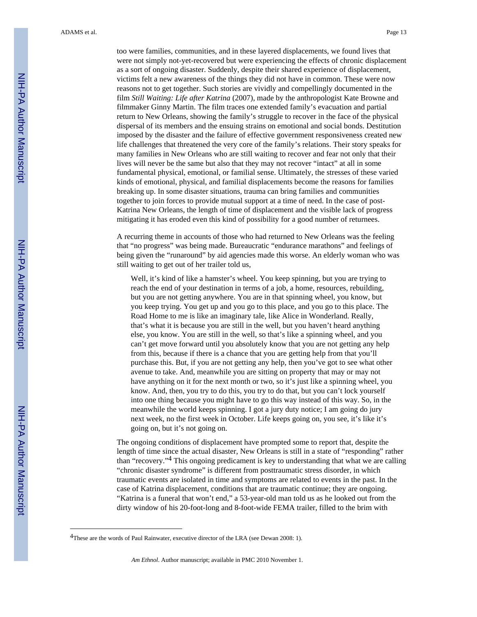too were families, communities, and in these layered displacements, we found lives that were not simply not-yet-recovered but were experiencing the effects of chronic displacement as a sort of ongoing disaster. Suddenly, despite their shared experience of displacement, victims felt a new awareness of the things they did not have in common. These were now reasons not to get together. Such stories are vividly and compellingly documented in the film *Still Waiting: Life after Katrina* (2007), made by the anthropologist Kate Browne and filmmaker Ginny Martin. The film traces one extended family's evacuation and partial return to New Orleans, showing the family's struggle to recover in the face of the physical dispersal of its members and the ensuing strains on emotional and social bonds. Destitution imposed by the disaster and the failure of effective government responsiveness created new life challenges that threatened the very core of the family's relations. Their story speaks for many families in New Orleans who are still waiting to recover and fear not only that their lives will never be the same but also that they may not recover "intact" at all in some fundamental physical, emotional, or familial sense. Ultimately, the stresses of these varied kinds of emotional, physical, and familial displacements become the reasons for families breaking up. In some disaster situations, trauma can bring families and communities together to join forces to provide mutual support at a time of need. In the case of post-Katrina New Orleans, the length of time of displacement and the visible lack of progress mitigating it has eroded even this kind of possibility for a good number of returnees.

A recurring theme in accounts of those who had returned to New Orleans was the feeling that "no progress" was being made. Bureaucratic "endurance marathons" and feelings of being given the "runaround" by aid agencies made this worse. An elderly woman who was still waiting to get out of her trailer told us,

Well, it's kind of like a hamster's wheel. You keep spinning, but you are trying to reach the end of your destination in terms of a job, a home, resources, rebuilding, but you are not getting anywhere. You are in that spinning wheel, you know, but you keep trying. You get up and you go to this place, and you go to this place. The Road Home to me is like an imaginary tale, like Alice in Wonderland. Really, that's what it is because you are still in the well, but you haven't heard anything else, you know. You are still in the well, so that's like a spinning wheel, and you can't get move forward until you absolutely know that you are not getting any help from this, because if there is a chance that you are getting help from that you'll purchase this. But, if you are not getting any help, then you've got to see what other avenue to take. And, meanwhile you are sitting on property that may or may not have anything on it for the next month or two, so it's just like a spinning wheel, you know. And, then, you try to do this, you try to do that, but you can't lock yourself into one thing because you might have to go this way instead of this way. So, in the meanwhile the world keeps spinning. I got a jury duty notice; I am going do jury next week, no the first week in October. Life keeps going on, you see, it's like it's going on, but it's not going on.

The ongoing conditions of displacement have prompted some to report that, despite the length of time since the actual disaster, New Orleans is still in a state of "responding" rather than "recovery."4 This ongoing predicament is key to understanding that what we are calling "chronic disaster syndrome" is different from posttraumatic stress disorder, in which traumatic events are isolated in time and symptoms are related to events in the past. In the case of Katrina displacement, conditions that are traumatic continue; they are ongoing. "Katrina is a funeral that won't end," a 53-year-old man told us as he looked out from the dirty window of his 20-foot-long and 8-foot-wide FEMA trailer, filled to the brim with

<sup>4</sup>These are the words of Paul Rainwater, executive director of the LRA (see Dewan 2008: 1).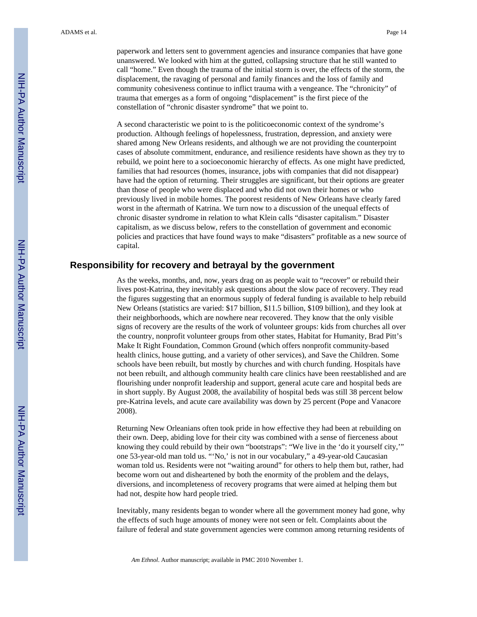paperwork and letters sent to government agencies and insurance companies that have gone unanswered. We looked with him at the gutted, collapsing structure that he still wanted to call "home." Even though the trauma of the initial storm is over, the effects of the storm, the displacement, the ravaging of personal and family finances and the loss of family and community cohesiveness continue to inflict trauma with a vengeance. The "chronicity" of trauma that emerges as a form of ongoing "displacement" is the first piece of the constellation of "chronic disaster syndrome" that we point to.

A second characteristic we point to is the politicoeconomic context of the syndrome's production. Although feelings of hopelessness, frustration, depression, and anxiety were shared among New Orleans residents, and although we are not providing the counterpoint cases of absolute commitment, endurance, and resilience residents have shown as they try to rebuild, we point here to a socioeconomic hierarchy of effects. As one might have predicted, families that had resources (homes, insurance, jobs with companies that did not disappear) have had the option of returning. Their struggles are significant, but their options are greater than those of people who were displaced and who did not own their homes or who previously lived in mobile homes. The poorest residents of New Orleans have clearly fared worst in the aftermath of Katrina. We turn now to a discussion of the unequal effects of chronic disaster syndrome in relation to what Klein calls "disaster capitalism." Disaster capitalism, as we discuss below, refers to the constellation of government and economic policies and practices that have found ways to make "disasters" profitable as a new source of capital.

#### **Responsibility for recovery and betrayal by the government**

As the weeks, months, and, now, years drag on as people wait to "recover" or rebuild their lives post-Katrina, they inevitably ask questions about the slow pace of recovery. They read the figures suggesting that an enormous supply of federal funding is available to help rebuild New Orleans (statistics are varied: \$17 billion, \$11.5 billion, \$109 billion), and they look at their neighborhoods, which are nowhere near recovered. They know that the only visible signs of recovery are the results of the work of volunteer groups: kids from churches all over the country, nonprofit volunteer groups from other states, Habitat for Humanity, Brad Pitt's Make It Right Foundation, Common Ground (which offers nonprofit community-based health clinics, house gutting, and a variety of other services), and Save the Children. Some schools have been rebuilt, but mostly by churches and with church funding. Hospitals have not been rebuilt, and although community health care clinics have been reestablished and are flourishing under nonprofit leadership and support, general acute care and hospital beds are in short supply. By August 2008, the availability of hospital beds was still 38 percent below pre-Katrina levels, and acute care availability was down by 25 percent (Pope and Vanacore 2008).

Returning New Orleanians often took pride in how effective they had been at rebuilding on their own. Deep, abiding love for their city was combined with a sense of fierceness about knowing they could rebuild by their own "bootstraps": "We live in the 'do it yourself city,'" one 53-year-old man told us. "'No,' is not in our vocabulary," a 49-year-old Caucasian woman told us. Residents were not "waiting around" for others to help them but, rather, had become worn out and disheartened by both the enormity of the problem and the delays, diversions, and incompleteness of recovery programs that were aimed at helping them but had not, despite how hard people tried.

Inevitably, many residents began to wonder where all the government money had gone, why the effects of such huge amounts of money were not seen or felt. Complaints about the failure of federal and state government agencies were common among returning residents of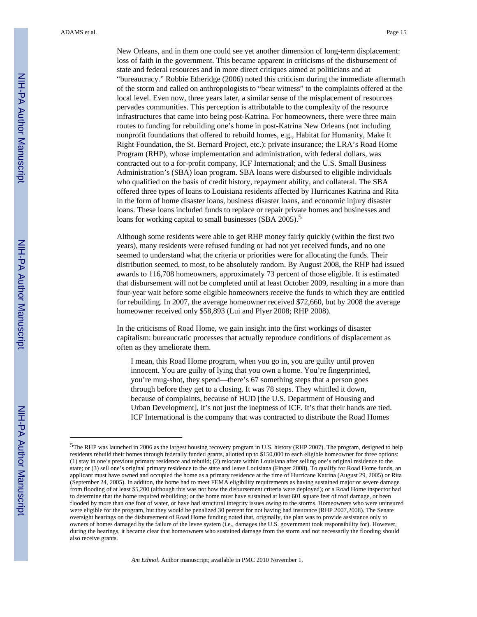New Orleans, and in them one could see yet another dimension of long-term displacement: loss of faith in the government. This became apparent in criticisms of the disbursement of state and federal resources and in more direct critiques aimed at politicians and at "bureaucracy." Robbie Etheridge (2006) noted this criticism during the immediate aftermath of the storm and called on anthropologists to "bear witness" to the complaints offered at the local level. Even now, three years later, a similar sense of the misplacement of resources pervades communities. This perception is attributable to the complexity of the resource infrastructures that came into being post-Katrina. For homeowners, there were three main routes to funding for rebuilding one's home in post-Katrina New Orleans (not including nonprofit foundations that offered to rebuild homes, e.g., Habitat for Humanity, Make It Right Foundation, the St. Bernard Project, etc.): private insurance; the LRA's Road Home Program (RHP), whose implementation and administration, with federal dollars, was contracted out to a for-profit company, ICF International; and the U.S. Small Business Administration's (SBA) loan program. SBA loans were disbursed to eligible individuals who qualified on the basis of credit history, repayment ability, and collateral. The SBA offered three types of loans to Louisiana residents affected by Hurricanes Katrina and Rita in the form of home disaster loans, business disaster loans, and economic injury disaster loans. These loans included funds to replace or repair private homes and businesses and loans for working capital to small businesses (SBA 2005).<sup>5</sup>

Although some residents were able to get RHP money fairly quickly (within the first two years), many residents were refused funding or had not yet received funds, and no one seemed to understand what the criteria or priorities were for allocating the funds. Their distribution seemed, to most, to be absolutely random. By August 2008, the RHP had issued awards to 116,708 homeowners, approximately 73 percent of those eligible. It is estimated that disbursement will not be completed until at least October 2009, resulting in a more than four-year wait before some eligible homeowners receive the funds to which they are entitled for rebuilding. In 2007, the average homeowner received \$72,660, but by 2008 the average homeowner received only \$58,893 (Lui and Plyer 2008; RHP 2008).

In the criticisms of Road Home, we gain insight into the first workings of disaster capitalism: bureaucratic processes that actually reproduce conditions of displacement as often as they ameliorate them.

I mean, this Road Home program, when you go in, you are guilty until proven innocent. You are guilty of lying that you own a home. You're fingerprinted, you're mug-shot, they spend—there's 67 something steps that a person goes through before they get to a closing. It was 78 steps. They whittled it down, because of complaints, because of HUD [the U.S. Department of Housing and Urban Development], it's not just the ineptness of ICF. It's that their hands are tied. ICF International is the company that was contracted to distribute the Road Homes

<sup>5</sup>The RHP was launched in 2006 as the largest housing recovery program in U.S. history (RHP 2007). The program, designed to help residents rebuild their homes through federally funded grants, allotted up to \$150,000 to each eligible homeowner for three options: (1) stay in one's previous primary residence and rebuild; (2) relocate within Louisiana after selling one's original residence to the state; or (3) sell one's original primary residence to the state and leave Louisiana (Finger 2008). To qualify for Road Home funds, an applicant must have owned and occupied the home as a primary residence at the time of Hurricane Katrina (August 29, 2005) or Rita (September 24, 2005). In additon, the home had to meet FEMA eligibility requirements as having sustained major or severe damage from flooding of at least \$5,200 (although this was not how the disbursement criteria were deployed); or a Road Home inspector had to determine that the home required rebuilding; or the home must have sustained at least 601 square feet of roof damage, or been flooded by more than one foot of water, or have had structural integrity issues owing to the storms. Homeowners who were uninsured were eligible for the program, but they would be penalized 30 percent for not having had insurance (RHP 2007,2008). The Senate oversight hearings on the disbursement of Road Home funding noted that, originally, the plan was to provide assistance only to owners of homes damaged by the failure of the levee system (i.e., damages the U.S. government took responsibility for). However, during the hearings, it became clear that homeowners who sustained damage from the storm and not necessarily the flooding should also receive grants.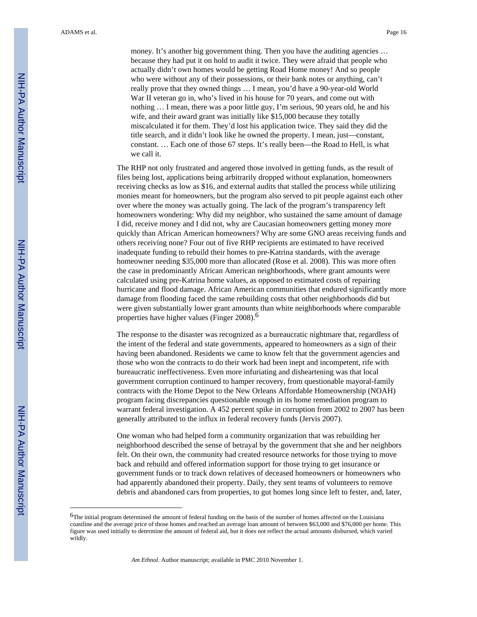money. It's another big government thing. Then you have the auditing agencies ... because they had put it on hold to audit it twice. They were afraid that people who actually didn't own homes would be getting Road Home money! And so people who were without any of their possessions, or their bank notes or anything, can't really prove that they owned things … I mean, you'd have a 90-year-old World War II veteran go in, who's lived in his house for 70 years, and come out with nothing … I mean, there was a poor little guy, I'm serious, 90 years old, he and his wife, and their award grant was initially like \$15,000 because they totally miscalculated it for them. They'd lost his application twice. They said they did the title search, and it didn't look like he owned the property. I mean, just—constant, constant. … Each one of those 67 steps. It's really been—the Road to Hell, is what we call it.

The RHP not only frustrated and angered those involved in getting funds, as the result of files being lost, applications being arbitrarily dropped without explanation, homeowners receiving checks as low as \$16, and external audits that stalled the process while utilizing monies meant for homeowners, but the program also served to pit people against each other over where the money was actually going. The lack of the program's transparency left homeowners wondering: Why did my neighbor, who sustained the same amount of damage I did, receive money and I did not, why are Caucasian homeowners getting money more quickly than African American homeowners? Why are some GNO areas receiving funds and others receiving none? Four out of five RHP recipients are estimated to have received inadequate funding to rebuild their homes to pre-Katrina standards, with the average homeowner needing \$35,000 more than allocated (Rose et al. 2008). This was more often the case in predominantly African American neighborhoods, where grant amounts were calculated using pre-Katrina home values, as opposed to estimated costs of repairing hurricane and flood damage. African American communities that endured significantly more damage from flooding faced the same rebuilding costs that other neighborhoods did but were given substantially lower grant amounts than white neighborhoods where comparable properties have higher values (Finger 2008).6

The response to the disaster was recognized as a bureaucratic nightmare that, regardless of the intent of the federal and state governments, appeared to homeowners as a sign of their having been abandoned. Residents we came to know felt that the government agencies and those who won the contracts to do their work had been inept and incompetent, rife with bureaucratic ineffectiveness. Even more infuriating and disheartening was that local government corruption continued to hamper recovery, from questionable mayoral-family contracts with the Home Depot to the New Orleans Affordable Homeownership (NOAH) program facing discrepancies questionable enough in its home remediation program to warrant federal investigation. A 452 percent spike in corruption from 2002 to 2007 has been generally attributed to the influx in federal recovery funds (Jervis 2007).

One woman who had helped form a community organization that was rebuilding her neighborhood described the sense of betrayal by the government that she and her neighbors felt. On their own, the community had created resource networks for those trying to move back and rebuild and offered information support for those trying to get insurance or government funds or to track down relatives of deceased homeowners or homeowners who had apparently abandoned their property. Daily, they sent teams of volunteers to remove debris and abandoned cars from properties, to gut homes long since left to fester, and, later,

<sup>&</sup>lt;sup>6</sup>The initial program determined the amount of federal funding on the basis of the number of homes affected on the Louisiana coastline and the average price of those homes and reached an average loan amount of between \$63,000 and \$76,000 per home. This figure was used initially to determine the amount of federal aid, but it does not reflect the actual amounts disbursed, which varied wildly.

*Am Ethnol*. Author manuscript; available in PMC 2010 November 1.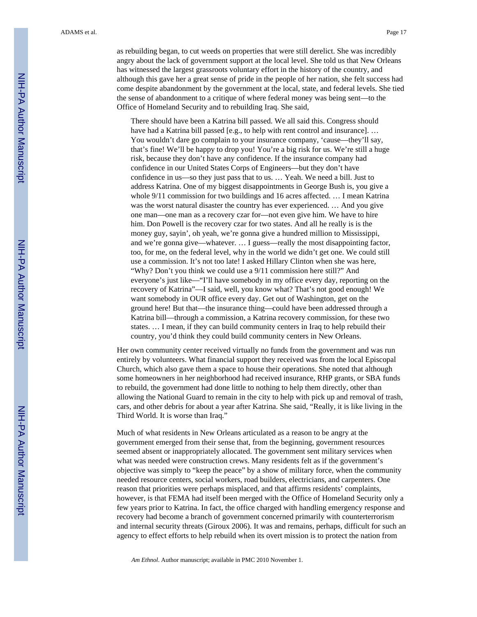as rebuilding began, to cut weeds on properties that were still derelict. She was incredibly angry about the lack of government support at the local level. She told us that New Orleans has witnessed the largest grassroots voluntary effort in the history of the country, and although this gave her a great sense of pride in the people of her nation, she felt success had come despite abandonment by the government at the local, state, and federal levels. She tied the sense of abandonment to a critique of where federal money was being sent—to the Office of Homeland Security and to rebuilding Iraq. She said,

There should have been a Katrina bill passed. We all said this. Congress should have had a Katrina bill passed [e.g., to help with rent control and insurance]. ... You wouldn't dare go complain to your insurance company, 'cause—they'll say, that's fine! We'll be happy to drop you! You're a big risk for us. We're still a huge risk, because they don't have any confidence. If the insurance company had confidence in our United States Corps of Engineers—but they don't have confidence in us—so they just pass that to us. … Yeah. We need a bill. Just to address Katrina. One of my biggest disappointments in George Bush is, you give a whole 9/11 commission for two buildings and 16 acres affected. … I mean Katrina was the worst natural disaster the country has ever experienced. … And you give one man—one man as a recovery czar for—not even give him. We have to hire him. Don Powell is the recovery czar for two states. And all he really is is the money guy, sayin', oh yeah, we're gonna give a hundred million to Mississippi, and we're gonna give—whatever. … I guess—really the most disappointing factor, too, for me, on the federal level, why in the world we didn't get one. We could still use a commission. It's not too late! I asked Hillary Clinton when she was here, "Why? Don't you think we could use a 9/11 commission here still?" And everyone's just like—"I'll have somebody in my office every day, reporting on the recovery of Katrina"—I said, well, you know what? That's not good enough! We want somebody in OUR office every day. Get out of Washington, get on the ground here! But that—the insurance thing—could have been addressed through a Katrina bill—through a commission, a Katrina recovery commission, for these two states. … I mean, if they can build community centers in Iraq to help rebuild their country, you'd think they could build community centers in New Orleans.

Her own community center received virtually no funds from the government and was run entirely by volunteers. What financial support they received was from the local Episcopal Church, which also gave them a space to house their operations. She noted that although some homeowners in her neighborhood had received insurance, RHP grants, or SBA funds to rebuild, the government had done little to nothing to help them directly, other than allowing the National Guard to remain in the city to help with pick up and removal of trash, cars, and other debris for about a year after Katrina. She said, "Really, it is like living in the Third World. It is worse than Iraq."

Much of what residents in New Orleans articulated as a reason to be angry at the government emerged from their sense that, from the beginning, government resources seemed absent or inappropriately allocated. The government sent military services when what was needed were construction crews. Many residents felt as if the government's objective was simply to "keep the peace" by a show of military force, when the community needed resource centers, social workers, road builders, electricians, and carpenters. One reason that priorities were perhaps misplaced, and that affirms residents' complaints, however, is that FEMA had itself been merged with the Office of Homeland Security only a few years prior to Katrina. In fact, the office charged with handling emergency response and recovery had become a branch of government concerned primarily with counterterrorism and internal security threats (Giroux 2006). It was and remains, perhaps, difficult for such an agency to effect efforts to help rebuild when its overt mission is to protect the nation from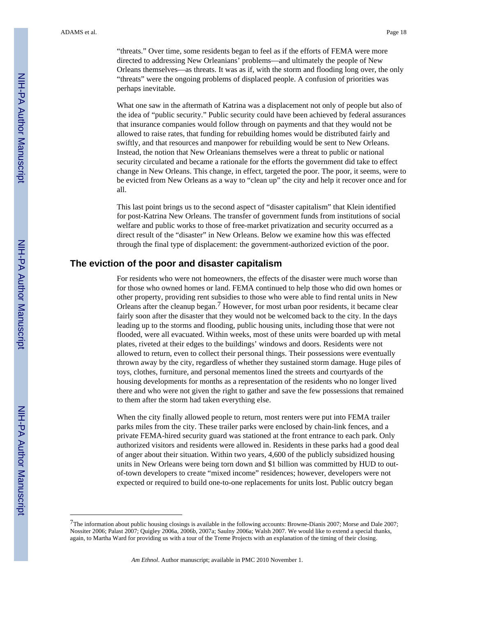"threats." Over time, some residents began to feel as if the efforts of FEMA were more directed to addressing New Orleanians' problems—and ultimately the people of New Orleans themselves—as threats. It was as if, with the storm and flooding long over, the only "threats" were the ongoing problems of displaced people. A confusion of priorities was perhaps inevitable.

What one saw in the aftermath of Katrina was a displacement not only of people but also of the idea of "public security." Public security could have been achieved by federal assurances that insurance companies would follow through on payments and that they would not be allowed to raise rates, that funding for rebuilding homes would be distributed fairly and swiftly, and that resources and manpower for rebuilding would be sent to New Orleans. Instead, the notion that New Orleanians themselves were a threat to public or national security circulated and became a rationale for the efforts the government did take to effect change in New Orleans. This change, in effect, targeted the poor. The poor, it seems, were to be evicted from New Orleans as a way to "clean up" the city and help it recover once and for all.

This last point brings us to the second aspect of "disaster capitalism" that Klein identified for post-Katrina New Orleans. The transfer of government funds from institutions of social welfare and public works to those of free-market privatization and security occurred as a direct result of the "disaster" in New Orleans. Below we examine how this was effected through the final type of displacement: the government-authorized eviction of the poor.

#### **The eviction of the poor and disaster capitalism**

For residents who were not homeowners, the effects of the disaster were much worse than for those who owned homes or land. FEMA continued to help those who did own homes or other property, providing rent subsidies to those who were able to find rental units in New Orleans after the cleanup began.7 However, for most urban poor residents, it became clear fairly soon after the disaster that they would not be welcomed back to the city. In the days leading up to the storms and flooding, public housing units, including those that were not flooded, were all evacuated. Within weeks, most of these units were boarded up with metal plates, riveted at their edges to the buildings' windows and doors. Residents were not allowed to return, even to collect their personal things. Their possessions were eventually thrown away by the city, regardless of whether they sustained storm damage. Huge piles of toys, clothes, furniture, and personal mementos lined the streets and courtyards of the housing developments for months as a representation of the residents who no longer lived there and who were not given the right to gather and save the few possessions that remained to them after the storm had taken everything else.

When the city finally allowed people to return, most renters were put into FEMA trailer parks miles from the city. These trailer parks were enclosed by chain-link fences, and a private FEMA-hired security guard was stationed at the front entrance to each park. Only authorized visitors and residents were allowed in. Residents in these parks had a good deal of anger about their situation. Within two years, 4,600 of the publicly subsidized housing units in New Orleans were being torn down and \$1 billion was committed by HUD to outof-town developers to create "mixed income" residences; however, developers were not expected or required to build one-to-one replacements for units lost. Public outcry began

<sup>7</sup>The information about public housing closings is available in the following accounts: Browne-Dianis 2007; Morse and Dale 2007; Nossiter 2006; Palast 2007; Quigley 2006a, 2006b, 2007a; Saulny 2006a; Walsh 2007. We would like to extend a special thanks, again, to Martha Ward for providing us with a tour of the Treme Projects with an explanation of the timing of their closing.

*Am Ethnol*. Author manuscript; available in PMC 2010 November 1.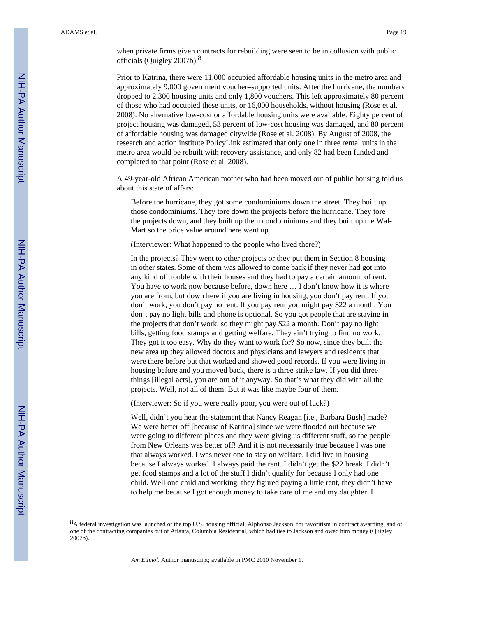when private firms given contracts for rebuilding were seen to be in collusion with public officials (Quigley 2007b).8

Prior to Katrina, there were 11,000 occupied affordable housing units in the metro area and approximately 9,000 government voucher–supported units. After the hurricane, the numbers dropped to 2,300 housing units and only 1,800 vouchers. This left approximately 80 percent of those who had occupied these units, or 16,000 households, without housing (Rose et al. 2008). No alternative low-cost or affordable housing units were available. Eighty percent of project housing was damaged, 53 percent of low-cost housing was damaged, and 80 percent of affordable housing was damaged citywide (Rose et al. 2008). By August of 2008, the research and action institute PolicyLink estimated that only one in three rental units in the metro area would be rebuilt with recovery assistance, and only 82 had been funded and completed to that point (Rose et al. 2008).

A 49-year-old African American mother who had been moved out of public housing told us about this state of affars:

Before the hurricane, they got some condominiums down the street. They built up those condominiums. They tore down the projects before the hurricane. They tore the projects down, and they built up them condominiums and they built up the Wal-Mart so the price value around here went up.

(Interviewer: What happened to the people who lived there?)

In the projects? They went to other projects or they put them in Section 8 housing in other states. Some of them was allowed to come back if they never had got into any kind of trouble with their houses and they had to pay a certain amount of rent. You have to work now because before, down here … I don't know how it is where you are from, but down here if you are living in housing, you don't pay rent. If you don't work, you don't pay no rent. If you pay rent you might pay \$22 a month. You don't pay no light bills and phone is optional. So you got people that are staying in the projects that don't work, so they might pay \$22 a month. Don't pay no light bills, getting food stamps and getting welfare. They ain't trying to find no work. They got it too easy. Why do they want to work for? So now, since they built the new area up they allowed doctors and physicians and lawyers and residents that were there before but that worked and showed good records. If you were living in housing before and you moved back, there is a three strike law. If you did three things [illegal acts], you are out of it anyway. So that's what they did with all the projects. Well, not all of them. But it was like maybe four of them.

(Interviewer: So if you were really poor, you were out of luck?)

Well, didn't you hear the statement that Nancy Reagan [i.e., Barbara Bush] made? We were better off [because of Katrina] since we were flooded out because we were going to different places and they were giving us different stuff, so the people from New Orleans was better off! And it is not necessarily true because I was one that always worked. I was never one to stay on welfare. I did live in housing because I always worked. I always paid the rent. I didn't get the \$22 break. I didn't get food stamps and a lot of the stuff I didn't qualify for because I only had one child. Well one child and working, they figured paying a little rent, they didn't have to help me because I got enough money to take care of me and my daughter. I

<sup>8</sup>A federal investigation was launched of the top U.S. housing official, Alphonso Jackson, for favoritism in contract awarding, and of one of the contracting companies out of Atlanta, Columbia Residential, which had ties to Jackson and owed him money (Quigley 2007b).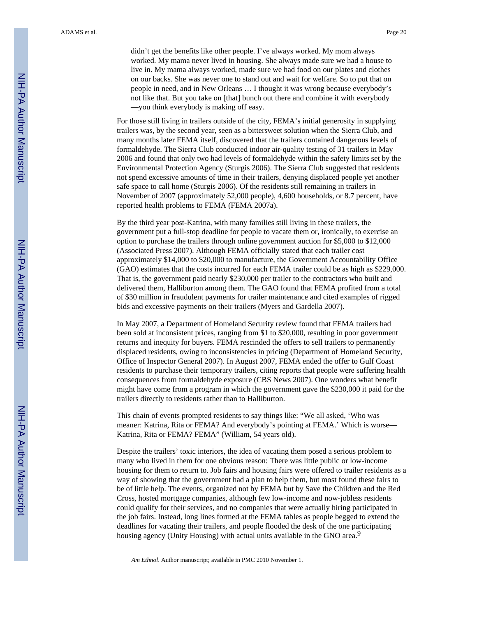didn't get the benefits like other people. I've always worked. My mom always worked. My mama never lived in housing. She always made sure we had a house to live in. My mama always worked, made sure we had food on our plates and clothes on our backs. She was never one to stand out and wait for welfare. So to put that on people in need, and in New Orleans … I thought it was wrong because everybody's not like that. But you take on [that] bunch out there and combine it with everybody —you think everybody is making off easy.

For those still living in trailers outside of the city, FEMA's initial generosity in supplying trailers was, by the second year, seen as a bittersweet solution when the Sierra Club, and many months later FEMA itself, discovered that the trailers contained dangerous levels of formaldehyde. The Sierra Club conducted indoor air-quality testing of 31 trailers in May 2006 and found that only two had levels of formaldehyde within the safety limits set by the Environmental Protection Agency (Sturgis 2006). The Sierra Club suggested that residents not spend excessive amounts of time in their trailers, denying displaced people yet another safe space to call home (Sturgis 2006). Of the residents still remaining in trailers in November of 2007 (approximately 52,000 people), 4,600 households, or 8.7 percent, have reported health problems to FEMA (FEMA 2007a).

By the third year post-Katrina, with many families still living in these trailers, the government put a full-stop deadline for people to vacate them or, ironically, to exercise an option to purchase the trailers through online government auction for \$5,000 to \$12,000 (Associated Press 2007). Although FEMA officially stated that each trailer cost approximately \$14,000 to \$20,000 to manufacture, the Government Accountability Office (GAO) estimates that the costs incurred for each FEMA trailer could be as high as \$229,000. That is, the government paid nearly \$230,000 per trailer to the contractors who built and delivered them, Halliburton among them. The GAO found that FEMA profited from a total of \$30 million in fraudulent payments for trailer maintenance and cited examples of rigged bids and excessive payments on their trailers (Myers and Gardella 2007).

In May 2007, a Department of Homeland Security review found that FEMA trailers had been sold at inconsistent prices, ranging from \$1 to \$20,000, resulting in poor government returns and inequity for buyers. FEMA rescinded the offers to sell trailers to permanently displaced residents, owing to inconsistencies in pricing (Department of Homeland Security, Office of Inspector General 2007). In August 2007, FEMA ended the offer to Gulf Coast residents to purchase their temporary trailers, citing reports that people were suffering health consequences from formaldehyde exposure (CBS News 2007). One wonders what benefit might have come from a program in which the government gave the \$230,000 it paid for the trailers directly to residents rather than to Halliburton.

This chain of events prompted residents to say things like: "We all asked, 'Who was meaner: Katrina, Rita or FEMA? And everybody's pointing at FEMA.' Which is worse— Katrina, Rita or FEMA? FEMA" (William, 54 years old).

Despite the trailers' toxic interiors, the idea of vacating them posed a serious problem to many who lived in them for one obvious reason: There was little public or low-income housing for them to return to. Job fairs and housing fairs were offered to trailer residents as a way of showing that the government had a plan to help them, but most found these fairs to be of little help. The events, organized not by FEMA but by Save the Children and the Red Cross, hosted mortgage companies, although few low-income and now-jobless residents could qualify for their services, and no companies that were actually hiring participated in the job fairs. Instead, long lines formed at the FEMA tables as people begged to extend the deadlines for vacating their trailers, and people flooded the desk of the one participating housing agency (Unity Housing) with actual units available in the GNO area.<sup>9</sup>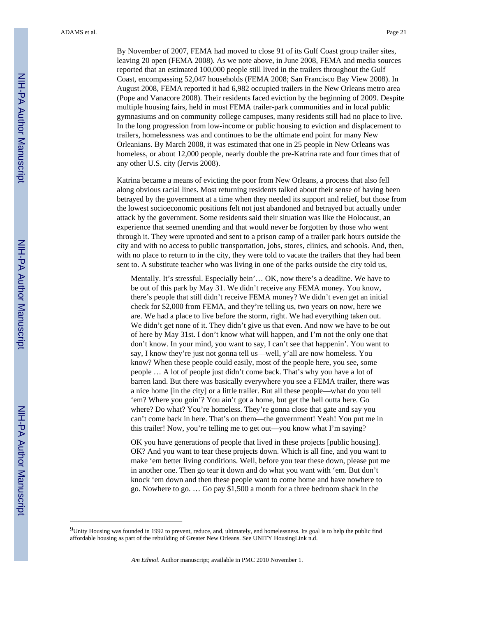By November of 2007, FEMA had moved to close 91 of its Gulf Coast group trailer sites, leaving 20 open (FEMA 2008). As we note above, in June 2008, FEMA and media sources reported that an estimated 100,000 people still lived in the trailers throughout the Gulf Coast, encompassing 52,047 households (FEMA 2008; San Francisco Bay View 2008). In August 2008, FEMA reported it had 6,982 occupied trailers in the New Orleans metro area (Pope and Vanacore 2008). Their residents faced eviction by the beginning of 2009. Despite multiple housing fairs, held in most FEMA trailer-park communities and in local public gymnasiums and on community college campuses, many residents still had no place to live. In the long progression from low-income or public housing to eviction and displacement to trailers, homelessness was and continues to be the ultimate end point for many New Orleanians. By March 2008, it was estimated that one in 25 people in New Orleans was homeless, or about 12,000 people, nearly double the pre-Katrina rate and four times that of any other U.S. city (Jervis 2008).

Katrina became a means of evicting the poor from New Orleans, a process that also fell along obvious racial lines. Most returning residents talked about their sense of having been betrayed by the government at a time when they needed its support and relief, but those from the lowest socioeconomic positions felt not just abandoned and betrayed but actually under attack by the government. Some residents said their situation was like the Holocaust, an experience that seemed unending and that would never be forgotten by those who went through it. They were uprooted and sent to a prison camp of a trailer park hours outside the city and with no access to public transportation, jobs, stores, clinics, and schools. And, then, with no place to return to in the city, they were told to vacate the trailers that they had been sent to. A substitute teacher who was living in one of the parks outside the city told us,

Mentally. It's stressful. Especially bein'… OK, now there's a deadline. We have to be out of this park by May 31. We didn't receive any FEMA money. You know, there's people that still didn't receive FEMA money? We didn't even get an initial check for \$2,000 from FEMA, and they're telling us, two years on now, here we are. We had a place to live before the storm, right. We had everything taken out. We didn't get none of it. They didn't give us that even. And now we have to be out of here by May 31st. I don't know what will happen, and I'm not the only one that don't know. In your mind, you want to say, I can't see that happenin'. You want to say, I know they're just not gonna tell us—well, y'all are now homeless. You know? When these people could easily, most of the people here, you see, some people … A lot of people just didn't come back. That's why you have a lot of barren land. But there was basically everywhere you see a FEMA trailer, there was a nice home [in the city] or a little trailer. But all these people—what do you tell 'em? Where you goin'? You ain't got a home, but get the hell outta here. Go where? Do what? You're homeless. They're gonna close that gate and say you can't come back in here. That's on them—the government! Yeah! You put me in this trailer! Now, you're telling me to get out—you know what I'm saying?

OK you have generations of people that lived in these projects [public housing]. OK? And you want to tear these projects down. Which is all fine, and you want to make 'em better living conditions. Well, before you tear these down, please put me in another one. Then go tear it down and do what you want with 'em. But don't knock 'em down and then these people want to come home and have nowhere to go. Nowhere to go. … Go pay \$1,500 a month for a three bedroom shack in the

<sup>9</sup>Unity Housing was founded in 1992 to prevent, reduce, and, ultimately, end homelessness. Its goal is to help the public find affordable housing as part of the rebuilding of Greater New Orleans. See UNITY HousingLink n.d.

*Am Ethnol*. Author manuscript; available in PMC 2010 November 1.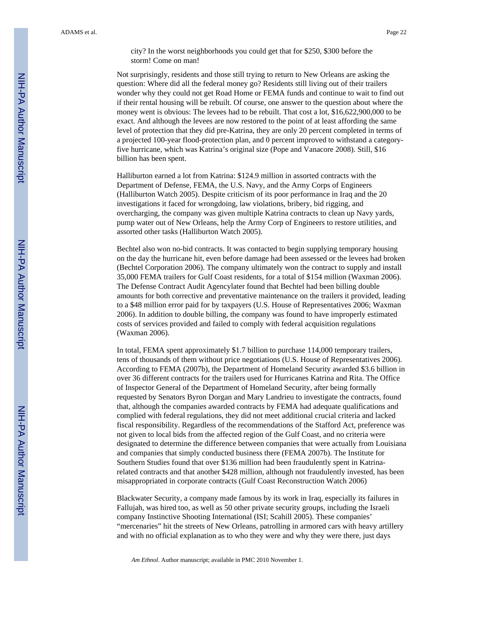city? In the worst neighborhoods you could get that for \$250, \$300 before the storm! Come on man!

Not surprisingly, residents and those still trying to return to New Orleans are asking the question: Where did all the federal money go? Residents still living out of their trailers wonder why they could not get Road Home or FEMA funds and continue to wait to find out if their rental housing will be rebuilt. Of course, one answer to the question about where the money went is obvious: The levees had to be rebuilt. That cost a lot, \$16,622,900,000 to be exact. And although the levees are now restored to the point of at least affording the same level of protection that they did pre-Katrina, they are only 20 percent completed in terms of a projected 100-year flood-protection plan, and 0 percent improved to withstand a categoryfive hurricane, which was Katrina's original size (Pope and Vanacore 2008). Still, \$16 billion has been spent.

Halliburton earned a lot from Katrina: \$124.9 million in assorted contracts with the Department of Defense, FEMA, the U.S. Navy, and the Army Corps of Engineers (Halliburton Watch 2005). Despite criticism of its poor performance in Iraq and the 20 investigations it faced for wrongdoing, law violations, bribery, bid rigging, and overcharging, the company was given multiple Katrina contracts to clean up Navy yards, pump water out of New Orleans, help the Army Corp of Engineers to restore utilities, and assorted other tasks (Halliburton Watch 2005).

Bechtel also won no-bid contracts. It was contacted to begin supplying temporary housing on the day the hurricane hit, even before damage had been assessed or the levees had broken (Bechtel Corporation 2006). The company ultimately won the contract to supply and install 35,000 FEMA trailers for Gulf Coast residents, for a total of \$154 million (Waxman 2006). The Defense Contract Audit Agencylater found that Bechtel had been billing double amounts for both corrective and preventative maintenance on the trailers it provided, leading to a \$48 million error paid for by taxpayers (U.S. House of Representatives 2006; Waxman 2006). In addition to double billing, the company was found to have improperly estimated costs of services provided and failed to comply with federal acquisition regulations (Waxman 2006).

In total, FEMA spent approximately \$1.7 billion to purchase 114,000 temporary trailers, tens of thousands of them without price negotiations (U.S. House of Representatives 2006). According to FEMA (2007b), the Department of Homeland Security awarded \$3.6 billion in over 36 different contracts for the trailers used for Hurricanes Katrina and Rita. The Office of Inspector General of the Department of Homeland Security, after being formally requested by Senators Byron Dorgan and Mary Landrieu to investigate the contracts, found that, although the companies awarded contracts by FEMA had adequate qualifications and complied with federal regulations, they did not meet additional crucial criteria and lacked fiscal responsibility. Regardless of the recommendations of the Stafford Act, preference was not given to local bids from the affected region of the Gulf Coast, and no criteria were designated to determine the difference between companies that were actually from Louisiana and companies that simply conducted business there (FEMA 2007b). The Institute for Southern Studies found that over \$136 million had been fraudulently spent in Katrinarelated contracts and that another \$428 million, although not fraudulently invested, has been misappropriated in corporate contracts (Gulf Coast Reconstruction Watch 2006)

Blackwater Security, a company made famous by its work in Iraq, especially its failures in Fallujah, was hired too, as well as 50 other private security groups, including the Israeli company Instinctive Shooting International (ISI; Scahill 2005). These companies' "mercenaries" hit the streets of New Orleans, patrolling in armored cars with heavy artillery and with no official explanation as to who they were and why they were there, just days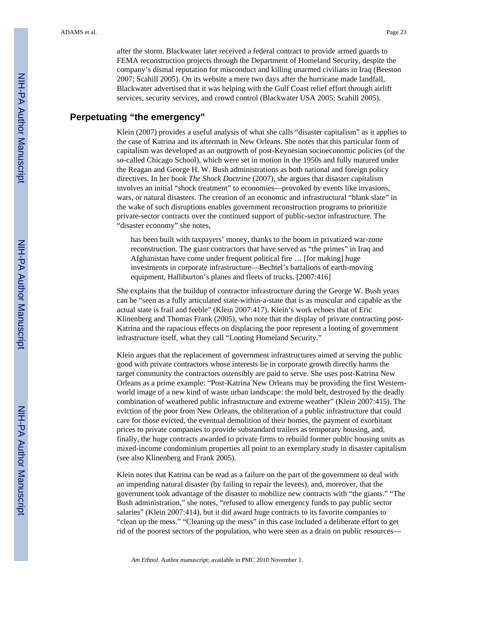after the storm. Blackwater later received a federal contract to provide armed guards to FEMA reconstruction projects through the Department of Homeland Security, despite the company's dismal reputation for misconduct and killing unarmed civilians in Iraq (Beeston 2007; Scahill 2005). On its website a mere two days after the hurricane made landfall, Blackwater advertised that it was helping with the Gulf Coast relief effort through airlift services, security services, and crowd control (Blackwater USA 2005; Scahill 2005).

# **Perpetuating "the emergency"**

Klein (2007) provides a useful analysis of what she calls "disaster capitalism" as it applies to the case of Katrina and its aftermath in New Orleans. She notes that this particular form of capitalism was developed as an outgrowth of post-Keynesian socioeconomic policies (of the so-called Chicago School), which were set in motion in the 1950s and fully matured under the Reagan and George H. W. Bush administrations as both national and foreign policy directives. In her book *The Shock Doctrine* (2007), she argues that disaster capitalism involves an initial "shock treatment" to economies—provoked by events like invasions, wars, or natural disasters. The creation of an economic and infrastructural "blank slate" in the wake of such disruptions enables government reconstruction programs to prioritize private-sector contracts over the continued support of public-sector infrastructure. The "disaster economy" she notes,

has been built with taxpayers' money, thanks to the boom in privatized war-zone reconstruction. The giant contractors that have served as "the primes" in Iraq and Afghanistan have come under frequent political fire … [for making] huge investments in corporate infrastructure—Bechtel's battalions of earth-moving equipment, Halliburton's planes and fleets of trucks. [2007:416]

She explains that the buildup of contractor infrastructure during the George W. Bush years can be "seen as a fully articulated state-within-a-state that is as muscular and capable as the actual state is frail and feeble" (Klein 2007:417). Klein's work echoes that of Eric Klinenberg and Thomas Frank (2005), who note that the display of private contracting post-Katrina and the rapacious effects on displacing the poor represent a looting of government infrastructure itself, what they call "Looting Homeland Security."

Klein argues that the replacement of government infrastructures aimed at serving the public good with private contractors whose interests lie in corporate growth directly harms the target community the contractors ostensibly are paid to serve. She uses post-Katrina New Orleans as a prime example: "Post-Katrina New Orleans may be providing the first Westernworld image of a new kind of waste urban landscape: the mold belt, destroyed by the deadly combination of weathered public infrastructure and extreme weather" (Klein 2007:415). The eviction of the poor from New Orleans, the obliteration of a public infrastructure that could care for those evicted, the eventual demolition of their homes, the payment of exorbitant prices to private companies to provide substandard trailers as temporary housing, and, finally, the huge contracts awarded to private firms to rebuild former public housing units as mixed-income condominium properties all point to an exemplary study in disaster capitalism (see also Klinenberg and Frank 2005).

Klein notes that Katrina can be read as a failure on the part of the government to deal with an impending natural disaster (by failing to repair the levees), and, moreover, that the government took advantage of the disaster to mobilize new contracts with "the giants." "The Bush administration," she notes, "refused to allow emergency funds to pay public sector salaries" (Klein 2007:414), but it did award huge contracts to its favorite companies to "clean up the mess." "Cleaning up the mess" in this case included a deliberate effort to get rid of the poorest sectors of the population, who were seen as a drain on public resources—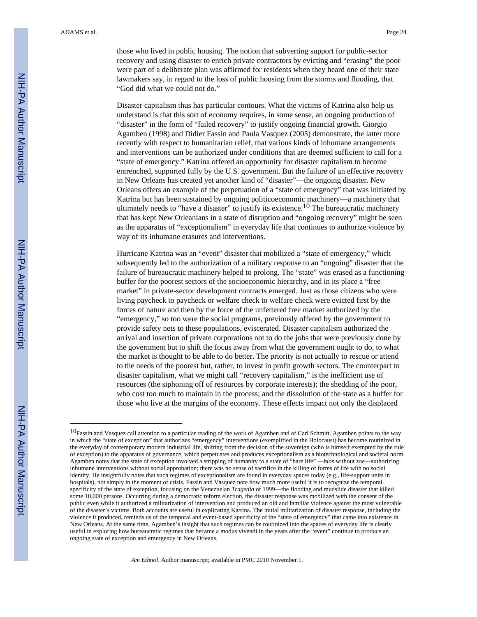those who lived in public housing. The notion that subverting support for public-sector recovery and using disaster to enrich private contractors by evicting and "erasing" the poor were part of a deliberate plan was affirmed for residents when they heard one of their state lawmakers say, in regard to the loss of public housing from the storms and flooding, that "God did what we could not do."

Disaster capitalism thus has particular contours. What the victims of Katrina also help us understand is that this sort of economy requires, in some sense, an ongoing production of "disaster" in the form of "failed recovery" to justify ongoing financial growth. Giorgio Agamben (1998) and Didier Fassin and Paula Vasquez (2005) demonstrate, the latter more recently with respect to humanitarian relief, that various kinds of inhumane arrangements and interventions can be authorized under conditions that are deemed sufficient to call for a "state of emergency." Katrina offered an opportunity for disaster capitalism to become entrenched, supported fully by the U.S. government. But the failure of an effective recovery in New Orleans has created yet another kind of "disaster"—the ongoing disaster. New Orleans offers an example of the perpetuation of a "state of emergency" that was initiated by Katrina but has been sustained by ongoing politicoeconomic machinery—a machinery that ultimately needs to "have a disaster" to justify its existence.<sup>10</sup> The bureaucratic machinery that has kept New Orleanians in a state of disruption and "ongoing recovery" might be seen as the apparatus of "exceptionalism" in everyday life that continues to authorize violence by way of its inhumane erasures and interventions.

Hurricane Katrina was an "event" disaster that mobilized a "state of emergency," which subsequently led to the authorization of a military response to an "ongoing" disaster that the failure of bureaucratic machinery helped to prolong. The "state" was erased as a functioning buffer for the poorest sectors of the socioeconomic hierarchy, and in its place a "free market" in private-sector development contracts emerged. Just as those citizens who were living paycheck to paycheck or welfare check to welfare check were evicted first by the forces of nature and then by the force of the unfettered free market authorized by the "emergency," so too were the social programs, previously offered by the government to provide safety nets to these populations, eviscerated. Disaster capitalism authorized the arrival and insertion of private corporations not to do the jobs that were previously done by the government but to shift the focus away from what the government ought to do, to what the market is thought to be able to do better. The priority is not actually to rescue or attend to the needs of the poorest but, rather, to invest in profit growth sectors. The counterpart to disaster capitalism, what we might call "recovery capitalism," is the inefficient use of resources (the siphoning off of resources by corporate interests); the shedding of the poor, who cost too much to maintain in the process; and the dissolution of the state as a buffer for those who live at the margins of the economy. These effects impact not only the displaced

<sup>10</sup>Fassin and Vasquez call attention to a particular reading of the work of Agamben and of Carl Schmitt. Agamben points to the way in which the "state of exception" that authorizes "emergency" interventions (exemplified in the Holocaust) has become routinized in the everyday of contemporary modern industrial life, shifting from the decision of the sovereign (who is himself exempted by the rule of exception) to the apparatus of governance, which perpetuates and produces exceptionalism as a biotechnological and societal norm. Agamben notes that the state of exception involved a stripping of humanity to a state of "bare life" —*bios* without *zoe*—authorizing inhumane interventions without social approbation; there was no sense of sacrifice in the killing of forms of life with no social identity. He insightfully notes that such regimes of exceptionalism are found in everyday spaces today (e.g., life-support units in hospitals), not simply in the moment of crisis. Fassin and Vasquez note how much more useful it is to recognize the temporal specificity of the state of exception, focusing on the Venezuelan *Tragedia* of 1999—the flooding and mudslide disaster that killed some 10,000 persons. Occurring during a democratic reform election, the disaster response was mobilized with the consent of the public even while it authorized a militarization of intervention and produced an old and familiar violence against the most vulnerable of the disaster's victims. Both accounts are useful in explicating Katrina. The initial militarization of disaster response, including the violence it produced, reminds us of the temporal and event-based specificity of the "state of emergency" that came into existence in New Orleans. At the same time, Agamben's insight that such regimes can be routinized into the spaces of everyday life is clearly useful in exploring how bureaucratic regimes that became a modus vivendi in the years after the "event" continue to produce an ongoing state of exception and emergency in New Orleans.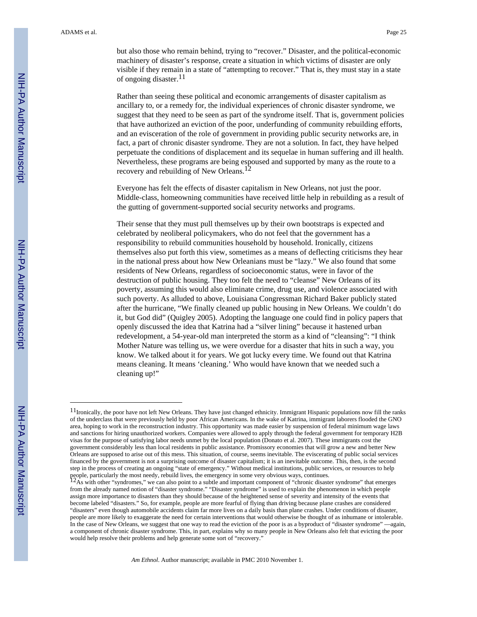but also those who remain behind, trying to "recover." Disaster, and the political-economic machinery of disaster's response, create a situation in which victims of disaster are only visible if they remain in a state of "attempting to recover." That is, they must stay in a state of ongoing disaster.<sup>11</sup>

Rather than seeing these political and economic arrangements of disaster capitalism as ancillary to, or a remedy for, the individual experiences of chronic disaster syndrome, we suggest that they need to be seen as part of the syndrome itself. That is, government policies that have authorized an eviction of the poor, underfunding of community rebuilding efforts, and an evisceration of the role of government in providing public security networks are, in fact, a part of chronic disaster syndrome. They are not a solution. In fact, they have helped perpetuate the conditions of displacement and its sequelae in human suffering and ill health. Nevertheless, these programs are being espoused and supported by many as the route to a recovery and rebuilding of New Orleans.<sup>12</sup>

Everyone has felt the effects of disaster capitalism in New Orleans, not just the poor. Middle-class, homeowning communities have received little help in rebuilding as a result of the gutting of government-supported social security networks and programs.

Their sense that they must pull themselves up by their own bootstraps is expected and celebrated by neoliberal policymakers, who do not feel that the government has a responsibility to rebuild communities household by household. Ironically, citizens themselves also put forth this view, sometimes as a means of deflecting criticisms they hear in the national press about how New Orleanians must be "lazy." We also found that some residents of New Orleans, regardless of socioeconomic status, were in favor of the destruction of public housing. They too felt the need to "cleanse" New Orleans of its poverty, assuming this would also eliminate crime, drug use, and violence associated with such poverty. As alluded to above, Louisiana Congressman Richard Baker publicly stated after the hurricane, "We finally cleaned up public housing in New Orleans. We couldn't do it, but God did" (Quigley 2005). Adopting the language one could find in policy papers that openly discussed the idea that Katrina had a "silver lining" because it hastened urban redevelopment, a 54-year-old man interpreted the storm as a kind of "cleansing": "I think Mother Nature was telling us, we were overdue for a disaster that hits in such a way, you know. We talked about it for years. We got lucky every time. We found out that Katrina means cleaning. It means 'cleaning.' Who would have known that we needed such a cleaning up!"

 $11$  Ironically, the poor have not left New Orleans. They have just changed ethnicity. Immigrant Hispanic populations now fill the ranks of the underclass that were previously held by poor African Americans. In the wake of Katrina, immigrant laborers flooded the GNO area, hoping to work in the reconstruction industry. This opportunity was made easier by suspension of federal minimum wage laws and sanctions for hiring unauthorized workers. Companies were allowed to apply through the federal government for temporary H2B visas for the purpose of satisfying labor needs unmet by the local population (Donato et al. 2007). These immigrants cost the government considerably less than local residents in public assistance. Promissory economies that will grow a new and better New Orleans are supposed to arise out of this mess. This situation, of course, seems inevitable. The eviscerating of public social services financed by the government is not a surprising outcome of disaster capitalism; it is an inevitable outcome. This, then, is the second step in the process of creating an ongoing "state of emergency." Without medical institutions, public services, or resources to help people, particularly the most needy, rebuild lives, the emergency in some very obvious ways, continues.<br><sup>12</sup>As with other "syndromes," we can also point to a subtle and important component of "chronic disaster syndrome" th

from the already named notion of "disaster syndrome." "Disaster syndrome" is used to explain the phenomenon in which people assign more importance to disasters than they should because of the heightened sense of severity and intensity of the events that become labeled "disasters." So, for example, people are more fearful of flying than driving because plane crashes are considered "disasters" even though automobile accidents claim far more lives on a daily basis than plane crashes. Under conditions of disaster, people are more likely to exaggerate the need for certain interventions that would otherwise be thought of as inhumane or intolerable. In the case of New Orleans, we suggest that one way to read the eviction of the poor is as a byproduct of "disaster syndrome" —again, a component of chronic disaster syndrome. This, in part, explains why so many people in New Orleans also felt that evicting the poor would help resolve their problems and help generate some sort of "recovery."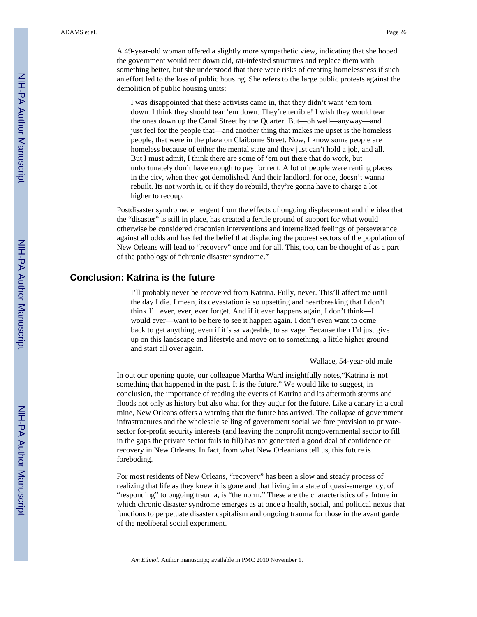A 49-year-old woman offered a slightly more sympathetic view, indicating that she hoped the government would tear down old, rat-infested structures and replace them with something better, but she understood that there were risks of creating homelessness if such an effort led to the loss of public housing. She refers to the large public protests against the demolition of public housing units:

I was disappointed that these activists came in, that they didn't want 'em torn down. I think they should tear 'em down. They're terrible! I wish they would tear the ones down up the Canal Street by the Quarter. But—oh well—anyway—and just feel for the people that—and another thing that makes me upset is the homeless people, that were in the plaza on Claiborne Street. Now, I know some people are homeless because of either the mental state and they just can't hold a job, and all. But I must admit, I think there are some of 'em out there that do work, but unfortunately don't have enough to pay for rent. A lot of people were renting places in the city, when they got demolished. And their landlord, for one, doesn't wanna rebuilt. Its not worth it, or if they do rebuild, they're gonna have to charge a lot higher to recoup.

Postdisaster syndrome, emergent from the effects of ongoing displacement and the idea that the "disaster" is still in place, has created a fertile ground of support for what would otherwise be considered draconian interventions and internalized feelings of perseverance against all odds and has fed the belief that displacing the poorest sectors of the population of New Orleans will lead to "recovery" once and for all. This, too, can be thought of as a part of the pathology of "chronic disaster syndrome."

# **Conclusion: Katrina is the future**

I'll probably never be recovered from Katrina. Fully, never. This'll affect me until the day I die. I mean, its devastation is so upsetting and heartbreaking that I don't think I'll ever, ever, ever forget. And if it ever happens again, I don't think—I would ever—want to be here to see it happen again. I don't even want to come back to get anything, even if it's salvageable, to salvage. Because then I'd just give up on this landscape and lifestyle and move on to something, a little higher ground and start all over again.

—Wallace, 54-year-old male

In out our opening quote, our colleague Martha Ward insightfully notes,"Katrina is not something that happened in the past. It is the future." We would like to suggest, in conclusion, the importance of reading the events of Katrina and its aftermath storms and floods not only as history but also what for they augur for the future. Like a canary in a coal mine, New Orleans offers a warning that the future has arrived. The collapse of government infrastructures and the wholesale selling of government social welfare provision to privatesector for-profit security interests (and leaving the nonprofit nongovernmental sector to fill in the gaps the private sector fails to fill) has not generated a good deal of confidence or recovery in New Orleans. In fact, from what New Orleanians tell us, this future is foreboding.

For most residents of New Orleans, "recovery" has been a slow and steady process of realizing that life as they knew it is gone and that living in a state of quasi-emergency, of "responding" to ongoing trauma, is "the norm." These are the characteristics of a future in which chronic disaster syndrome emerges as at once a health, social, and political nexus that functions to perpetuate disaster capitalism and ongoing trauma for those in the avant garde of the neoliberal social experiment.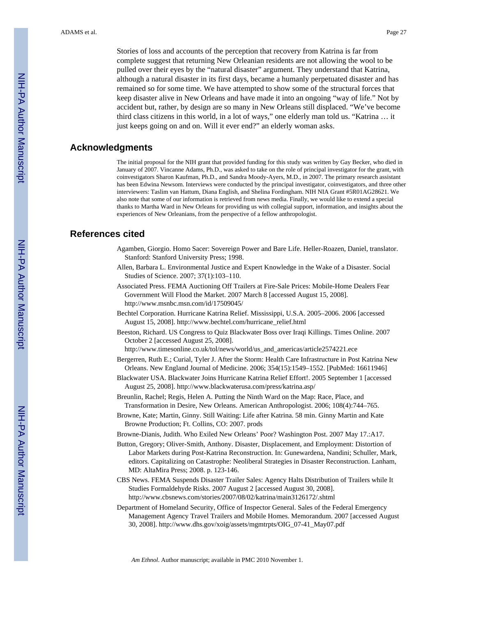Stories of loss and accounts of the perception that recovery from Katrina is far from complete suggest that returning New Orleanian residents are not allowing the wool to be pulled over their eyes by the "natural disaster" argument. They understand that Katrina, although a natural disaster in its first days, became a humanly perpetuated disaster and has remained so for some time. We have attempted to show some of the structural forces that keep disaster alive in New Orleans and have made it into an ongoing "way of life." Not by accident but, rather, by design are so many in New Orleans still displaced. "We've become third class citizens in this world, in a lot of ways," one elderly man told us. "Katrina … it just keeps going on and on. Will it ever end?" an elderly woman asks.

#### **Acknowledgments**

The initial proposal for the NIH grant that provided funding for this study was written by Gay Becker, who died in January of 2007. Vincanne Adams, Ph.D., was asked to take on the role of principal investigator for the grant, with coinvestigators Sharon Kaufman, Ph.D., and Sandra Moody-Ayers, M.D., in 2007. The primary research assistant has been Edwina Newsom. Interviews were conducted by the principal investigator, coinvestigators, and three other interviewers: Taslim van Hattum, Diana English, and Shelina Fordingham. NIH NIA Grant #5R01AG28621. We also note that some of our information is retrieved from news media. Finally, we would like to extend a special thanks to Martha Ward in New Orleans for providing us with collegial support, information, and insights about the experiences of New Orleanians, from the perspective of a fellow anthropologist.

#### **References cited**

- Agamben, Giorgio. Homo Sacer: Sovereign Power and Bare Life. Heller-Roazen, Daniel, translator. Stanford: Stanford University Press; 1998.
- Allen, Barbara L. Environmental Justice and Expert Knowledge in the Wake of a Disaster. Social Studies of Science. 2007; 37(1):103–110.
- Associated Press. FEMA Auctioning Off Trailers at Fire-Sale Prices: Mobile-Home Dealers Fear Government Will Flood the Market. 2007 March 8 [accessed August 15, 2008]. <http://www.msnbc.msn.com/id/17509045/>
- Bechtel Corporation. Hurricane Katrina Relief. Mississippi, U.S.A. 2005–2006. 2006 [accessed August 15, 2008]. [http://www.bechtel.com/hurricane\\_relief.html](http://www.bechtel.com/hurricane_relief.html)
- Beeston, Richard. US Congress to Quiz Blackwater Boss over Iraqi Killings. Times Online. 2007 October 2 [accessed August 25, 2008].

[http://www.timesonline.co.uk/tol/news/world/us\\_and\\_americas/article2574221.ece](http://www.timesonline.co.uk/tol/news/world/us_and_americas/article2574221.ece)

- Bergerren, Ruth E.; Curial, Tyler J. After the Storm: Health Care Infrastructure in Post Katrina New Orleans. New England Journal of Medicine. 2006; 354(15):1549–1552. [PubMed: 16611946]
- Blackwater USA. Blackwater Joins Hurricane Katrina Relief Effort!. 2005 September 1 [accessed August 25, 2008]. [http://www.blackwaterusa.com/press/katrina.asp/](http://www.blackwaterusa.com/press/katrina.asp)
- Breunlin, Rachel; Regis, Helen A. Putting the Ninth Ward on the Map: Race, Place, and Transformation in Desire, New Orleans. American Anthropologist. 2006; 108(4):744–765.
- Browne, Kate; Martin, Ginny. Still Waiting: Life after Katrina. 58 min. Ginny Martin and Kate Browne Production; Ft. Collins, CO: 2007. prods
- Browne-Dianis, Judith. Who Exiled New Orleans' Poor? Washington Post. 2007 May 17.:A17.
- Button, Gregory; Oliver-Smith, Anthony. Disaster, Displacement, and Employment: Distortion of Labor Markets during Post-Katrina Reconstruction. In: Gunewardena, Nandini; Schuller, Mark, editors. Capitalizing on Catastrophe: Neoliberal Strategies in Disaster Reconstruction. Lanham, MD: AltaMira Press; 2008. p. 123-146.
- CBS News. FEMA Suspends Disaster Trailer Sales: Agency Halts Distribution of Trailers while It Studies Formaldehyde Risks. 2007 August 2 [accessed August 30, 2008]. [http://www.cbsnews.com/stories/2007/08/02/katrina/main3126172/.shtml](http://www.cbsnews.com/stories/2007/08/02/katrina/main3126172.shtml)
- Department of Homeland Security, Office of Inspector General. Sales of the Federal Emergency Management Agency Travel Trailers and Mobile Homes. Memorandum. 2007 [accessed August 30, 2008]. [http://www.dhs.gov/xoig/assets/mgmtrpts/OIG\\_07-41\\_May07.pdf](http://www.dhs.gov/xoig/assets/mgmtrpts/OIG_07-41_May07.pdf)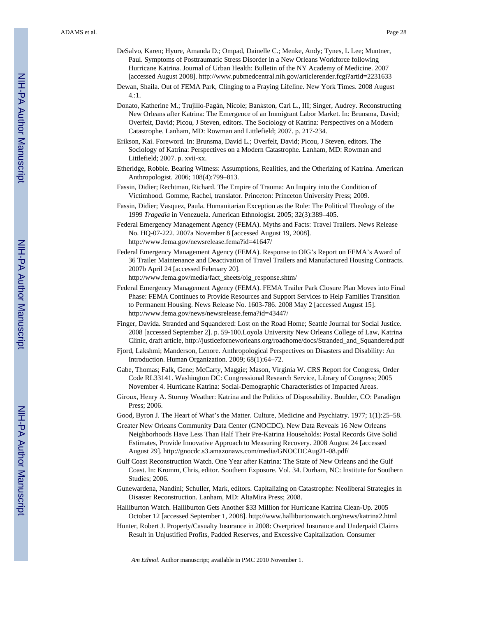- DeSalvo, Karen; Hyure, Amanda D.; Ompad, Dainelle C.; Menke, Andy; Tynes, L Lee; Muntner, Paul. Symptoms of Posttraumatic Stress Disorder in a New Orleans Workforce following Hurricane Katrina. Journal of Urban Health: Bulletin of the NY Academy of Medicine. 2007 [accessed August 2008].<http://www.pubmedcentral.nih.gov/articlerender.fcgi?artid=2231633>
- Dewan, Shaila. Out of FEMA Park, Clinging to a Fraying Lifeline. New York Times. 2008 August 4.:1.
- Donato, Katherine M.; Trujillo-Pagán, Nicole; Bankston, Carl L., III; Singer, Audrey. Reconstructing New Orleans after Katrina: The Emergence of an Immigrant Labor Market. In: Brunsma, David; Overfelt, David; Picou, J Steven, editors. The Sociology of Katrina: Perspectives on a Modern Catastrophe. Lanham, MD: Rowman and Littlefield; 2007. p. 217-234.
- Erikson, Kai. Foreword. In: Brunsma, David L.; Overfelt, David; Picou, J Steven, editors. The Sociology of Katrina: Perspectives on a Modern Catastrophe. Lanham, MD: Rowman and Littlefield; 2007. p. xvii-xx.
- Etheridge, Robbie. Bearing Witness: Assumptions, Realities, and the Otherizing of Katrina. American Anthropologist. 2006; 108(4):799–813.
- Fassin, Didier; Rechtman, Richard. The Empire of Trauma: An Inquiry into the Condition of Victimhood. Gomme, Rachel, translator. Princeton: Princeton University Press; 2009.
- Fassin, Didier; Vasquez, Paula. Humanitarian Exception as the Rule: The Political Theology of the 1999 *Tragedia* in Venezuela. American Ethnologist. 2005; 32(3):389–405.
- Federal Emergency Management Agency (FEMA). Myths and Facts: Travel Trailers. News Release No. HQ-07-222. 2007a November 8 [accessed August 19, 2008]. [http://www.fema.gov/newsrelease.fema?id=41647/](http://www.fema.gov/newsrelease.fema?id=41647)
- Federal Emergency Management Agency (FEMA). Response to OIG's Report on FEMA's Award of 36 Trailer Maintenance and Deactivation of Travel Trailers and Manufactured Housing Contracts. 2007b April 24 [accessed February 20].

[http://www.fema.gov/media/fact\\_sheets/oig\\_response.shtm/](http://www.fema.gov/media/fact_sheets/oig_response.shtm)

- Federal Emergency Management Agency (FEMA). FEMA Trailer Park Closure Plan Moves into Final Phase: FEMA Continues to Provide Resources and Support Services to Help Families Transition to Permanent Housing. News Release No. 1603-786. 2008 May 2 [accessed August 15]. [http://www.fema.gov/news/newsrelease.fema?id=43447/](http://www.fema.gov/news/newsrelease.fema?id=43447)
- Finger, Davida. Stranded and Squandered: Lost on the Road Home; Seattle Journal for Social Justice. 2008 [accessed September 2]. p. 59-100.Loyola University New Orleans College of Law, Katrina Clinic, draft article, [http://justiceforneworleans.org/roadhome/docs/Stranded\\_and\\_Squandered.pdf](http://justiceforneworleans.org/roadhome/docs/Stranded_and_Squandered.pdf)
- Fjord, Lakshmi; Manderson, Lenore. Anthropological Perspectives on Disasters and Disability: An Introduction. Human Organization. 2009; 68(1):64–72.
- Gabe, Thomas; Falk, Gene; McCarty, Maggie; Mason, Virginia W. CRS Report for Congress, Order Code RL33141. Washington DC: Congressional Research Service, Library of Congress; 2005 November 4. Hurricane Katrina: Social-Demographic Characteristics of Impacted Areas.
- Giroux, Henry A. Stormy Weather: Katrina and the Politics of Disposability. Boulder, CO: Paradigm Press; 2006.
- Good, Byron J. The Heart of What's the Matter. Culture, Medicine and Psychiatry. 1977; 1(1):25–58.
- Greater New Orleans Community Data Center (GNOCDC). New Data Reveals 16 New Orleans Neighborhoods Have Less Than Half Their Pre-Katrina Households: Postal Records Give Solid Estimates, Provide Innovative Approach to Measuring Recovery. 2008 August 24 [accessed August 29]. [http://gnocdc.s3.amazonaws.com/media/GNOCDCAug21-08.pdf/](http://gnocdc.s3.amazonaws.com/media/GNOCDCAug21-08.pdf)
- Gulf Coast Reconstruction Watch. One Year after Katrina: The State of New Orleans and the Gulf Coast. In: Kromm, Chris, editor. Southern Exposure. Vol. 34. Durham, NC: Institute for Southern Studies; 2006.
- Gunewardena, Nandini; Schuller, Mark, editors. Capitalizing on Catastrophe: Neoliberal Strategies in Disaster Reconstruction. Lanham, MD: AltaMira Press; 2008.
- Halliburton Watch. Halliburton Gets Another \$33 Million for Hurricane Katrina Clean-Up. 2005 October 12 [accessed September 1, 2008].<http://www.halliburtonwatch.org/news/katrina2.html>
- Hunter, Robert J. Property/Casualty Insurance in 2008: Overpriced Insurance and Underpaid Claims Result in Unjustified Profits, Padded Reserves, and Excessive Capitalization. Consumer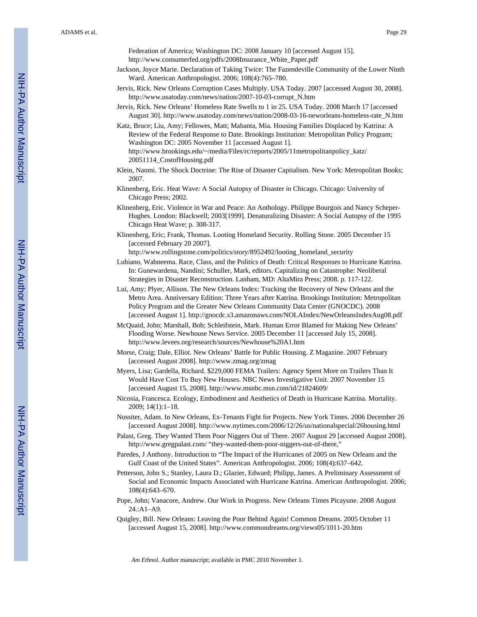Federation of America; Washington DC: 2008 January 10 [accessed August 15]. [http://www.consumerfed.org/pdfs/2008Insurance\\_White\\_Paper.pdf](http://www.consumerfed.org/pdfs/2008Insurance_White_Paper.pdf)

- Jackson, Joyce Marie. Declaration of Taking Twice: The Fazendeville Community of the Lower Ninth Ward. American Anthropologist. 2006; 108(4):765–780.
- Jervis, Rick. New Orleans Corruption Cases Multiply. USA Today. 2007 [accessed August 30, 2008]. [http://www.usatoday.com/news/nation/2007-10-03-corrupt\\_N.htm](http://www.usatoday.com/news/nation/2007-10-03-corrupt_N.htm)
- Jervis, Rick. New Orleans' Homeless Rate Swells to 1 in 25. USA Today. 2008 March 17 [accessed August 30]. [http://www.usatoday.com/news/nation/2008-03-16-neworleans-homeless-rate\\_N.htm](http://www.usatoday.com/news/nation/2008-03-16-neworleans-homeless-rate_N.htm)

Katz, Bruce; Liu, Amy; Fellowes, Matt; Mabanta, Mia. Housing Families Displaced by Katrina: A Review of the Federal Response to Date. Brookings Institution: Metropolitan Policy Program; Washington DC: 2005 November 11 [accessed August 1]. [http://www.brookings.edu/~/media/Files/rc/reports/2005/11metropolitanpolicy\\_katz/](http://www.brookings.edu/~/media/Files/rc/reports/2005/11metropolitanpolicy_katz/20051114_CostofHousing.pdf) [20051114\\_CostofHousing.pdf](http://www.brookings.edu/~/media/Files/rc/reports/2005/11metropolitanpolicy_katz/20051114_CostofHousing.pdf)

- Klein, Naomi. The Shock Doctrine: The Rise of Disaster Capitalism. New York: Metropolitan Books; 2007.
- Klinenberg, Eric. Heat Wave: A Social Autopsy of Disaster in Chicago. Chicago: University of Chicago Press; 2002.
- Klinenberg, Eric. Violence in War and Peace: An Anthology. Philippe Bourgois and Nancy Scheper-Hughes. London: Blackwell; 2003[1999]. Denaturalizing Disaster: A Social Autopsy of the 1995 Chicago Heat Wave; p. 308-317.
- Klinenberg, Eric; Frank, Thomas. Looting Homeland Security. Rolling Stone. 2005 December 15 [accessed February 20 2007].

[http://www.rollingstone.com/politics/story/8952492/looting\\_homeland\\_security](http://www.rollingstone.com/politics/story/8952492/looting_homeland_security)

- Lubiano, Wahneema. Race, Class, and the Politics of Death: Critical Responses to Hurricane Katrina. In: Gunewardena, Nandini; Schuller, Mark, editors. Capitalizing on Catastrophe: Neoliberal Strategies in Disaster Reconstruction. Lanham, MD: AltaMira Press; 2008. p. 117-122.
- Lui, Amy; Plyer, Allison. The New Orleans Index: Tracking the Recovery of New Orleans and the Metro Area. Anniversary Edition: Three Years after Katrina. Brookings Institution: Metropolitan Policy Program and the Greater New Orleans Community Data Center (GNOCDC). 2008 [accessed August 1]. <http://gnocdc.s3.amazonaws.com/NOLAIndex/NewOrleansIndexAug08.pdf>

McQuaid, John; Marshall, Bob; Schleifstein, Mark. Human Error Blamed for Making New Orleans' Flooding Worse. Newhouse News Service. 2005 December 11 [accessed July 15, 2008]. <http://www.levees.org/research/sources/Newhouse%20A1.htm>

- Morse, Craig; Dale, Elliot. New Orleans' Battle for Public Housing. Z Magazine. 2007 February [accessed August 2008].<http://www.zmag.org/zmag>
- Myers, Lisa; Gardella, Richard. \$229,000 FEMA Trailers: Agency Spent More on Trailers Than It Would Have Cost To Buy New Houses. NBC News Investigative Unit. 2007 November 15 [accessed August 15, 2008]. <http://www.msnbc.msn.com/id/21824609/>
- Nicosia, Francesca. Ecology, Embodiment and Aesthetics of Death in Hurricane Katrina. Mortality. 2009; 14(1):1–18.
- Nossiter, Adam. In New Orleans, Ex-Tenants Fight for Projects. New York Times. 2006 December 26 [accessed August 2008].<http://www.nytimes.com/2006/12/26/us/nationalspecial/26housing.html>
- Palast, Greg. They Wanted Them Poor Niggers Out of There. 2007 August 29 [accessed August 2008]. <http://www.gregpalast.com/> "they-wanted-them-poor-niggers-out-of-there,"
- Paredes, J Anthony. Introduction to "The Impact of the Hurricanes of 2005 on New Orleans and the Gulf Coast of the United States". American Anthropologist. 2006; 108(4):637–642.
- Petterson, John S.; Stanley, Laura D.; Glazier, Edward; Philipp, James. A Preliminary Assessment of Social and Economic Impacts Associated with Hurricane Katrina. American Anthropologist. 2006; 108(4):643–670.
- Pope, John; Vanacore, Andrew. Our Work in Progress. New Orleans Times Picayune. 2008 August 24.:A1–A9.
- Quigley, Bill. New Orleans: Leaving the Poor Behind Again! Common Dreams. 2005 October 11 [accessed August 15, 2008]. <http://www.commondreams.org/views05/1011-20.htm>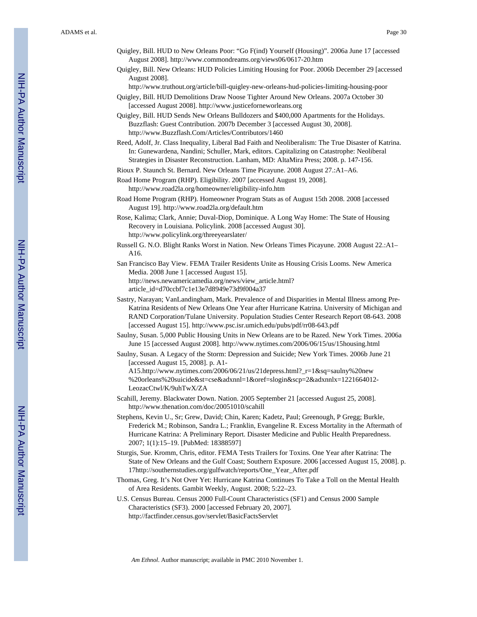- Quigley, Bill. HUD to New Orleans Poor: "Go F(ind) Yourself (Housing)". 2006a June 17 [accessed August 2008]. <http://www.commondreams.org/views06/0617-20.htm>
- Quigley, Bill. New Orleans: HUD Policies Limiting Housing for Poor. 2006b December 29 [accessed August 2008].

<http://www.truthout.org/article/bill-quigley-new-orleans-hud-policies-limiting-housing-poor>

- Quigley, Bill. HUD Demolitions Draw Noose Tighter Around New Orleans. 2007a October 30 [accessed August 2008].<http://www.justiceforneworleans.org>
- Quigley, Bill. HUD Sends New Orleans Bulldozers and \$400,000 Apartments for the Holidays. Buzzflash: Guest Contribution. 2007b December 3 [accessed August 30, 2008]. <http://www.Buzzflash.Com/Articles/Contributors/1460>
- Reed, Adolf, Jr. Class Inequality, Liberal Bad Faith and Neoliberalism: The True Disaster of Katrina. In: Gunewardena, Nandini; Schuller, Mark, editors. Capitalizing on Catastrophe: Neoliberal Strategies in Disaster Reconstruction. Lanham, MD: AltaMira Press; 2008. p. 147-156.
- Rioux P. Staunch St. Bernard. New Orleans Time Picayune. 2008 August 27.:A1–A6.
- Road Home Program (RHP). Eligibility. 2007 [accessed August 19, 2008]. <http://www.road2la.org/homeowner/eligibility-info.htm>
- Road Home Program (RHP). Homeowner Program Stats as of August 15th 2008. 2008 [accessed August 19]. <http://www.road2la.org/default.htm>
- Rose, Kalima; Clark, Annie; Duval-Diop, Dominique. A Long Way Home: The State of Housing Recovery in Louisiana. Policylink. 2008 [accessed August 30]. <http://www.policylink.org/threeyearslater/>
- Russell G. N.O. Blight Ranks Worst in Nation. New Orleans Times Picayune. 2008 August 22.:A1– A16.

San Francisco Bay View. FEMA Trailer Residents Unite as Housing Crisis Looms. New America Media. 2008 June 1 [accessed August 15]. [http://news.newamericamedia.org/news/view\\_article.html?](http://news.newamericamedia.org/news/view_article.html?article_id=d70ccbf7c1e13e7d8949e73d9f004a37) [article\\_id=d70ccbf7c1e13e7d8949e73d9f004a37](http://news.newamericamedia.org/news/view_article.html?article_id=d70ccbf7c1e13e7d8949e73d9f004a37)

- Sastry, Narayan; VanLandingham, Mark. Prevalence of and Disparities in Mental Illness among Pre-Katrina Residents of New Orleans One Year after Hurricane Katrina. University of Michigan and RAND Corporation/Tulane University. Population Studies Center Research Report 08-643. 2008 [accessed August 15].<http://www.psc.isr.umich.edu/pubs/pdf/rr08-643.pdf>
- Saulny, Susan. 5,000 Public Housing Units in New Orleans are to be Razed. New York Times. 2006a June 15 [accessed August 2008].<http://www.nytimes.com/2006/06/15/us/15housing.html>
- Saulny, Susan. A Legacy of the Storm: Depression and Suicide; New York Times. 2006b June 21 [accessed August 15, 2008]. p. A1-
	- A15.[http://www.nytimes.com/2006/06/21/us/21depress.html?\\_r=1&sq=saulny%20new](http://www.nytimes.com/2006/06/21/us/21depress.html?_r=1&sq=saulny%20new%20orleans%20suicide&st=cse&adxnnl=1&oref=slogin&scp=2&adxnnlx=1221664012-LeozacCtwl/K/9uhTwX/ZA) [%20orleans%20suicide&st=cse&adxnnl=1&oref=slogin&scp=2&adxnnlx=1221664012-](http://www.nytimes.com/2006/06/21/us/21depress.html?_r=1&sq=saulny%20new%20orleans%20suicide&st=cse&adxnnl=1&oref=slogin&scp=2&adxnnlx=1221664012-LeozacCtwl/K/9uhTwX/ZA) [LeozacCtwl/K/9uhTwX/ZA](http://www.nytimes.com/2006/06/21/us/21depress.html?_r=1&sq=saulny%20new%20orleans%20suicide&st=cse&adxnnl=1&oref=slogin&scp=2&adxnnlx=1221664012-LeozacCtwl/K/9uhTwX/ZA)
- Scahill, Jeremy. Blackwater Down. Nation. 2005 September 21 [accessed August 25, 2008]. <http://www.thenation.com/doc/20051010/scahill>
- Stephens, Kevin U., Sr; Grew, David; Chin, Karen; Kadetz, Paul; Greenough, P Gregg; Burkle, Frederick M.; Robinson, Sandra L.; Franklin, Evangeline R. Excess Mortality in the Aftermath of Hurricane Katrina: A Preliminary Report. Disaster Medicine and Public Health Preparedness. 2007; 1(1):15–19. [PubMed: 18388597]
- Sturgis, Sue. Kromm, Chris, editor. FEMA Tests Trailers for Toxins. One Year after Katrina: The State of New Orleans and the Gulf Coast; Southern Exposure. 2006 [accessed August 15, 2008]. p. 17[http://southernstudies.org/gulfwatch/reports/One\\_Year\\_After.pdf](http://southernstudies.org/gulfwatch/reports/One_Year_After.pdf)
- Thomas, Greg. It's Not Over Yet: Hurricane Katrina Continues To Take a Toll on the Mental Health of Area Residents. Gambit Weekly, August. 2008; 5:22–23.
- U.S. Census Bureau. Census 2000 Full-Count Characteristics (SF1) and Census 2000 Sample Characteristics (SF3). 2000 [accessed February 20, 2007]. <http://factfinder.census.gov/servlet/BasicFactsServlet>